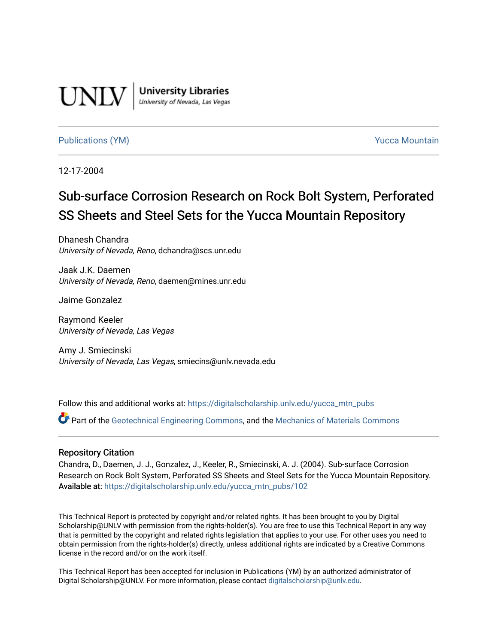

**University Libraries**<br>University of Nevada, Las Vegas

# [Publications \(YM\)](https://digitalscholarship.unlv.edu/yucca_mtn_pubs) **Publications** (YM) **Publications** (YM)

12-17-2004

# Sub-surface Corrosion Research on Rock Bolt System, Perforated SS Sheets and Steel Sets for the Yucca Mountain Repository

Dhanesh Chandra University of Nevada, Reno, dchandra@scs.unr.edu

Jaak J.K. Daemen University of Nevada, Reno, daemen@mines.unr.edu

Jaime Gonzalez

Raymond Keeler University of Nevada, Las Vegas

Amy J. Smiecinski University of Nevada, Las Vegas, smiecins@unlv.nevada.edu

Follow this and additional works at: [https://digitalscholarship.unlv.edu/yucca\\_mtn\\_pubs](https://digitalscholarship.unlv.edu/yucca_mtn_pubs?utm_source=digitalscholarship.unlv.edu%2Fyucca_mtn_pubs%2F102&utm_medium=PDF&utm_campaign=PDFCoverPages)

Part of the [Geotechnical Engineering Commons,](http://network.bepress.com/hgg/discipline/255?utm_source=digitalscholarship.unlv.edu%2Fyucca_mtn_pubs%2F102&utm_medium=PDF&utm_campaign=PDFCoverPages) and the [Mechanics of Materials Commons](http://network.bepress.com/hgg/discipline/283?utm_source=digitalscholarship.unlv.edu%2Fyucca_mtn_pubs%2F102&utm_medium=PDF&utm_campaign=PDFCoverPages) 

## Repository Citation

Chandra, D., Daemen, J. J., Gonzalez, J., Keeler, R., Smiecinski, A. J. (2004). Sub-surface Corrosion Research on Rock Bolt System, Perforated SS Sheets and Steel Sets for the Yucca Mountain Repository. Available at: [https://digitalscholarship.unlv.edu/yucca\\_mtn\\_pubs/102](https://digitalscholarship.unlv.edu/yucca_mtn_pubs/102) 

This Technical Report is protected by copyright and/or related rights. It has been brought to you by Digital Scholarship@UNLV with permission from the rights-holder(s). You are free to use this Technical Report in any way that is permitted by the copyright and related rights legislation that applies to your use. For other uses you need to obtain permission from the rights-holder(s) directly, unless additional rights are indicated by a Creative Commons license in the record and/or on the work itself.

This Technical Report has been accepted for inclusion in Publications (YM) by an authorized administrator of Digital Scholarship@UNLV. For more information, please contact [digitalscholarship@unlv.edu](mailto:digitalscholarship@unlv.edu).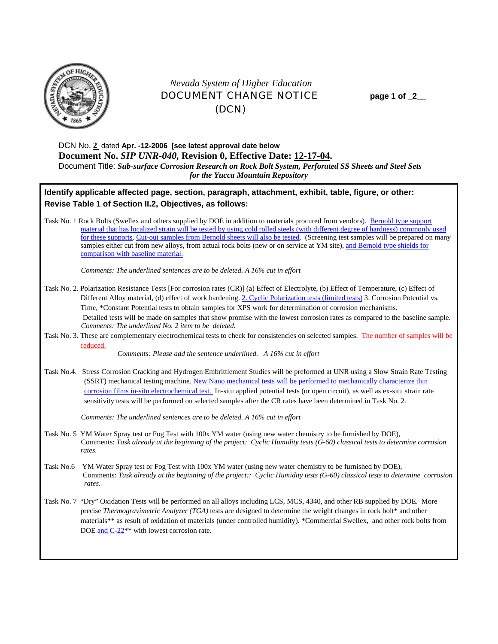

# *Nevada System of Higher Education* DOCUMENT CHANGE NOTICE **page 1 of \_2\_\_**  (DCN)

DCN No. **2** dated **Apr. -12-2006 [see latest approval date below Document No.** *SIP UNR-040,* **Revision 0, Effective Date: 12-17-04.** Document Title: *Sub-surface Corrosion Research on Rock Bolt System, Perforated SS Sheets and Steel Sets for the Yucca Mountain Repository* 

# **Identify applicable affected page, section, paragraph, attachment, exhibit, table, figure, or other: Revise Table 1 of Section II.2, Objectives, as follows:**

Task No. 1 Rock Bolts (Swellex and others supplied by DOE in addition to materials procured from vendors). Bernold type support material that has localized strain will be tested by using cold rolled steels (with different degree of hardness) commonly used for these supports. Cut-out samples from Bernold sheets will also be tested. (Screening test samples will be prepared on many samples either cut from new alloys, from actual rock bolts (new or on service at YM site), and Bernold type shields for comparison with baseline material.

*Comments: The underlined sentences are to be deleted. A 16% cut in effort* 

- Task No. 2. Polarization Resistance Tests [For corrosion rates (CR)] (a) Effect of Electrolyte, (b) Effect of Temperature, (c) Effect of Different Alloy material, (d) effect of work hardening. 2. Cyclic Polarization tests (limited tests) 3. Corrosion Potential vs. Time, \*Constant Potential tests to obtain samples for XPS work for determination of corrosion mechanisms. Detailed tests will be made on samples that show promise with the lowest corrosion rates as compared to the baseline sample.  *Comments: The underlined No. 2 item to be deleted.*
- Task No. 3. These are complementary electrochemical tests to check for consistencies on selected samples. The number of samples will be reduced.

*Comments: Please add the sentence underlined. A 16% cut in effort*

Task No.4. Stress Corrosion Cracking and Hydrogen Embrittlement Studies will be preformed at UNR using a Slow Strain Rate Testing (SSRT) mechanical testing machine. New Nano mechanical tests will be performed to mechanically characterize thin corrosion films in-situ electrochemical test. In-situ applied potential tests (or open circuit), as well as ex-situ strain rate sensitivity tests will be performed on selected samples after the CR rates have been determined in Task No. 2.

*Comments: The underlined sentences are to be deleted. A 16% cut in effort* 

- Task No. 5 YM Water Spray test or Fog Test with 100x YM water (using new water chemistry to be furnished by DOE), Comments: *Task already at the beginning of the project: Cyclic Humidity tests (G-60) classical tests to determine corrosion rates.*
- Task No.6 YM Water Spray test or Fog Test with 100x YM water (using new water chemistry to be furnished by DOE), Comments: *Task already at the beginning of the project:: Cyclic Humidity tests (G-60) classical tests to determine corrosion rates.*
- Task No. 7 "Dry" Oxidation Tests will be performed on all alloys including LCS, MCS, 4340, and other RB supplied by DOE. More precise *Thermogravimetric Analyzer (TGA)* tests are designed to determine the weight changes in rock bolt\* and other materials\*\* as result of oxidation of materials (under controlled humidity). \*Commercial Swellex, and other rock bolts from DOE and C-22<sup>\*\*</sup> with lowest corrosion rate.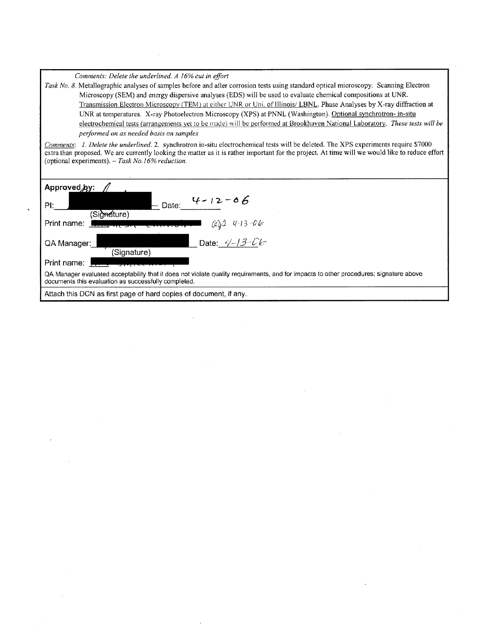*Comments: Delete the underlined. A 16% cut in effort* 

*Task No. 8.* Metallographic analyses of samples before and after corrosion tests using standard optical microscopy. Scanning Electron Microscopy (SEM) and energy dispersive analyses (EDS) will be used to evaluate chemical compositions at UNR. Transmission Electron Microscopy (TEM) at either UNR or Uni. of Illinois/ LBNL. Phase Analyses by X-ray diffraction at UNR at temperatures. X-ray Photoelectron Microscopy (XPS) at PNNL (Washington). Optional synchrotron- in-situ electrochemical tests (arrangements yet to be made) will be performed at Brookhaven National Laboratory. *These tests will be performed on as needed basis on samples* 

*Comments: 1. Delete the underlined.* 2. synchrotron in-situ electrochemical tests will be deleted. The XPS experiments require \$7000 extra than proposed. We are currently looking the matter as it is rather important for the project. At time will we would like to reduce effort (optional experiments).- *Task No.J6% reduction.* 

| Approved by:                                                                                                                                                                                   |
|------------------------------------------------------------------------------------------------------------------------------------------------------------------------------------------------|
| $4 - 12 - 06$<br>Date:<br>Pŀ∶                                                                                                                                                                  |
| (Signature)                                                                                                                                                                                    |
| Print name:<br>$601 413 - 06$                                                                                                                                                                  |
| Date: $4-13$ - $06$<br>QA Manager:<br>(Signature)                                                                                                                                              |
| Print name:                                                                                                                                                                                    |
| QA Manager evaluated acceptability that it does not violate quality requirements, and for impacts to other procedures; signature above<br>documents this evaluation as successfully completed. |
| Attach this DCN as first page of hard copies of document, if any.                                                                                                                              |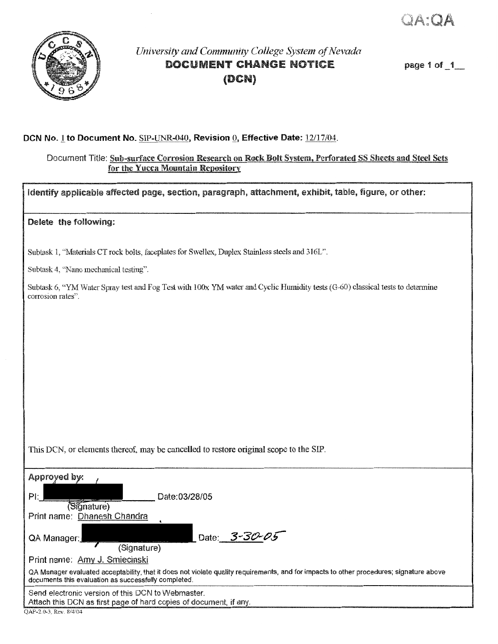OA OA



# *University and Community College System of Nevada*  DOCUMENT CHANGE NOTICE (DCN)

page 1 of \_1\_

## **DCN** No.1 to Document No. SIP-UNR-040, Revision Q, Effective Date: 12117/04.

## Document Title: Sub-surface Corrosion Research on Rock Bolt System, Perforated SS Sheets and Steel Sets for the Yucca Mountain Repository

Identify applicable affected page, section, paragraph, attachment, exhibit, table, figure, or other:

### Delete the following:

Subtask 1, "Materials CT rock bolts, faceplates for Swellex, Duplex Stainless steels and 3161".

Subtask 4, "Nano mechanical testing".

Subtask 6, "YM Water Spray test and l corrosion rates".

This DCN, or elements thereof, may be cancelled to restore original scope to the SIP.

| Approyed by:                                                                                                           |                                                                                                                                         |
|------------------------------------------------------------------------------------------------------------------------|-----------------------------------------------------------------------------------------------------------------------------------------|
| PĿ                                                                                                                     | Date:03/28/05                                                                                                                           |
| Signature)                                                                                                             |                                                                                                                                         |
| Print name: Dhanesh Chandra                                                                                            |                                                                                                                                         |
|                                                                                                                        |                                                                                                                                         |
| QA Manager:<br>(Signature)                                                                                             | Date: 3-30-05                                                                                                                           |
| Print name: Amy J. Smiecinski                                                                                          |                                                                                                                                         |
| documents this evaluation as successfully completed.                                                                   | QA Manager evaluated acceptability, that it does not violate quality requirements, and for impacts to other procedures; signature above |
| Send electronic version of this DCN to Webmaster.<br>Attach this DCN as first page of hard copies of document, if any. |                                                                                                                                         |
| OAP-2.0-3, Rev. 8/4/04                                                                                                 |                                                                                                                                         |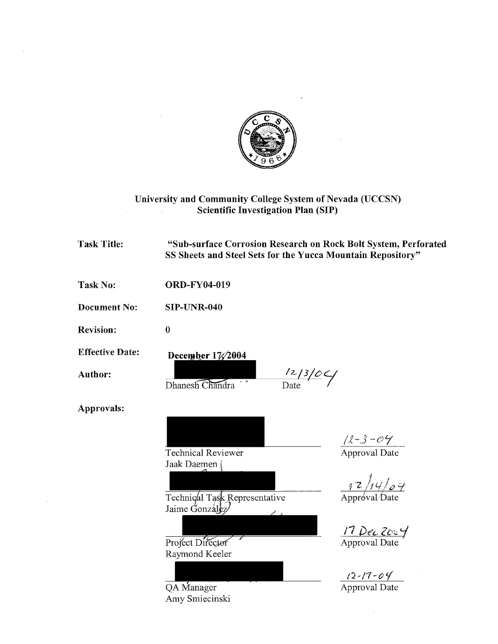

# University and Community College System of Nevada (UCCSN) Scientific Investigation Plan (SIP)

| <b>Task Title:</b>     | "Sub-surface Corrosion Research on Rock Bolt System, Perforated<br>SS Sheets and Steel Sets for the Yucca Mountain Repository" |                                                                                                                    |
|------------------------|--------------------------------------------------------------------------------------------------------------------------------|--------------------------------------------------------------------------------------------------------------------|
| <b>Task No:</b>        | <b>ORD-FY04-019</b>                                                                                                            |                                                                                                                    |
| <b>Document No:</b>    | <b>SIP-UNR-040</b>                                                                                                             |                                                                                                                    |
| <b>Revision:</b>       | $\bf{0}$                                                                                                                       |                                                                                                                    |
| <b>Effective Date:</b> | December $1\frac{7}{2004}$                                                                                                     |                                                                                                                    |
| <b>Author:</b>         | $\frac{12/3}{\text{Date}}$<br>Dhanesh Chandra                                                                                  |                                                                                                                    |
| Approvals:             |                                                                                                                                |                                                                                                                    |
|                        | <b>Technical Reviewer</b><br>Jaak Daemen                                                                                       | $\frac{72 - 3 - 04}{\text{Approxal Date}}$<br>$\frac{1}{\text{Approx}}\frac{1}{\text{approx}}\frac{1}{\text{eta}}$ |
|                        | Technical Task Representative<br>Jaime González                                                                                | 17 Dec Zos Y<br>Approval Date                                                                                      |
|                        | Project Director<br>Raymond Keeler                                                                                             |                                                                                                                    |
|                        | QA Manager<br>Amy Smiecinski                                                                                                   | $\frac{12 - 17 - 04}{\text{Approxal Date}}$                                                                        |

 $\sim$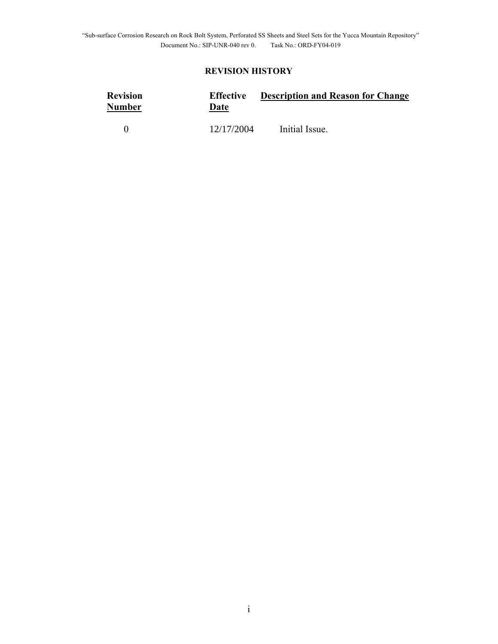# **REVISION HISTORY**

| <b>Revision</b><br>Number | <b>Effective</b><br>Date | <b>Description and Reason for Change</b> |
|---------------------------|--------------------------|------------------------------------------|
|                           | 12/17/2004               | Initial Issue.                           |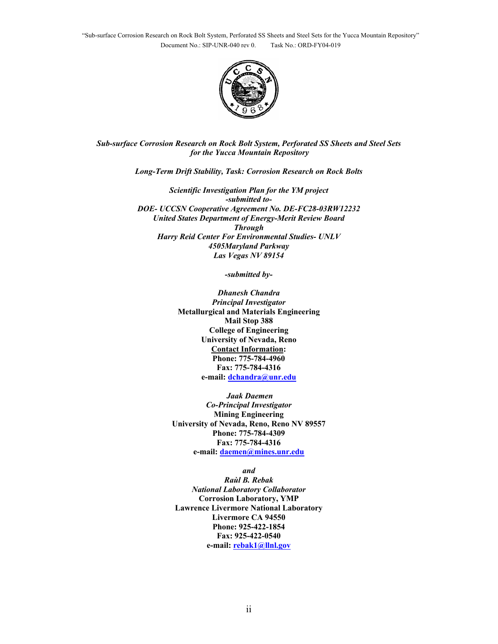

*Sub-surface Corrosion Research on Rock Bolt System, Perforated SS Sheets and Steel Sets for the Yucca Mountain Repository* 

*Long-Term Drift Stability, Task: Corrosion Research on Rock Bolts* 

*Scientific Investigation Plan for the YM project -submitted to-DOE- UCCSN Cooperative Agreement No. DE-FC28-03RW12232 United States Department of Energy-Merit Review Board Through Harry Reid Center For Environmental Studies- UNLV 4505Maryland Parkway Las Vegas NV 89154* 

*-submitted by-*

*Dhanesh Chandra Principal Investigator*  **Metallurgical and Materials Engineering Mail Stop 388 College of Engineering University of Nevada, Reno Contact Information: Phone: 775-784-4960 Fax: 775-784-4316 e-mail: dchandra@unr.edu**

 *Jaak Daemen Co-Principal Investigator*  **Mining Engineering University of Nevada, Reno, Reno NV 89557 Phone: 775-784-4309 Fax: 775-784-4316 e-mail: daemen@mines.unr.edu**

*and Raùl B. Rebak National Laboratory Collaborator*  **Corrosion Laboratory, YMP Lawrence Livermore National Laboratory Livermore CA 94550 Phone: 925-422-1854 Fax: 925-422-0540 e-mail: rebak1@llnl.gov**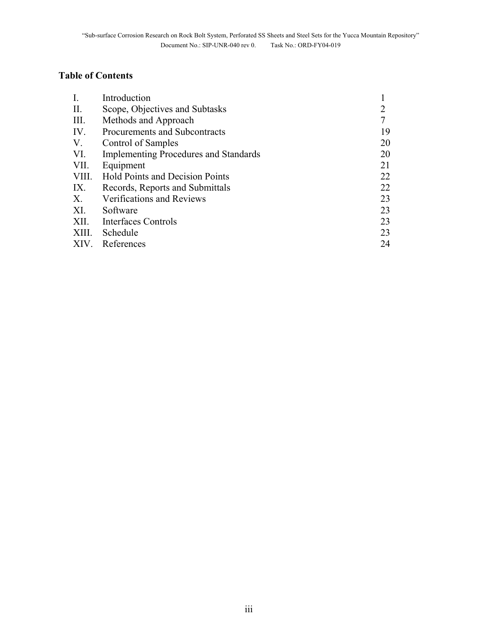# **Table of Contents**

| $\mathbf{I}$ . | Introduction                                 |    |
|----------------|----------------------------------------------|----|
| $\prod$ .      | Scope, Objectives and Subtasks               |    |
| III.           | Methods and Approach                         | 7  |
| IV.            | Procurements and Subcontracts                | 19 |
| V.             | Control of Samples                           | 20 |
| VI.            | <b>Implementing Procedures and Standards</b> | 20 |
| VII.           | Equipment                                    | 21 |
| VIII.          | Hold Points and Decision Points              | 22 |
| IX.            | Records, Reports and Submittals              | 22 |
| X.             | Verifications and Reviews                    | 23 |
| XI.            | Software                                     | 23 |
| XII.           | Interfaces Controls                          | 23 |
| XIII.          | Schedule                                     | 23 |
| XIV.           | References                                   | 24 |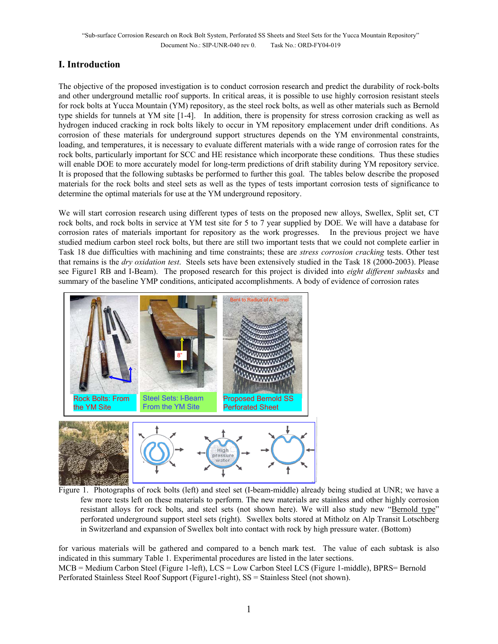# **I. Introduction**

The objective of the proposed investigation is to conduct corrosion research and predict the durability of rock-bolts and other underground metallic roof supports. In critical areas, it is possible to use highly corrosion resistant steels for rock bolts at Yucca Mountain (YM) repository, as the steel rock bolts, as well as other materials such as Bernold type shields for tunnels at YM site [1-4]. In addition, there is propensity for stress corrosion cracking as well as hydrogen induced cracking in rock bolts likely to occur in YM repository emplacement under drift conditions. As corrosion of these materials for underground support structures depends on the YM environmental constraints, loading, and temperatures, it is necessary to evaluate different materials with a wide range of corrosion rates for the rock bolts, particularly important for SCC and HE resistance which incorporate these conditions. Thus these studies will enable DOE to more accurately model for long-term predictions of drift stability during YM repository service. It is proposed that the following subtasks be performed to further this goal. The tables below describe the proposed materials for the rock bolts and steel sets as well as the types of tests important corrosion tests of significance to determine the optimal materials for use at the YM underground repository.

We will start corrosion research using different types of tests on the proposed new alloys, Swellex, Split set, CT rock bolts, and rock bolts in service at YM test site for 5 to 7 year supplied by DOE. We will have a database for corrosion rates of materials important for repository as the work progresses. In the previous project we have studied medium carbon steel rock bolts, but there are still two important tests that we could not complete earlier in Task 18 due difficulties with machining and time constraints; these are *stress corrosion cracking* tests. Other test that remains is the *dry oxidation test*. Steels sets have been extensively studied in the Task 18 (2000-2003). Please see Figure1 RB and I-Beam). The proposed research for this project is divided into *eight different subtasks* and summary of the baseline YMP conditions, anticipated accomplishments. A body of evidence of corrosion rates



Figure 1. Photographs of rock bolts (left) and steel set (I-beam-middle) already being studied at UNR; we have a few more tests left on these materials to perform. The new materials are stainless and other highly corrosion resistant alloys for rock bolts, and steel sets (not shown here). We will also study new "Bernold type" perforated underground support steel sets (right). Swellex bolts stored at Mitholz on Alp Transit Lotschberg in Switzerland and expansion of Swellex bolt into contact with rock by high pressure water. (Bottom)

for various materials will be gathered and compared to a bench mark test. The value of each subtask is also indicated in this summary Table 1. Experimental procedures are listed in the later sections. MCB = Medium Carbon Steel (Figure 1-left), LCS = Low Carbon Steel LCS (Figure 1-middle), BPRS= Bernold Perforated Stainless Steel Roof Support (Figure1-right), SS = Stainless Steel (not shown).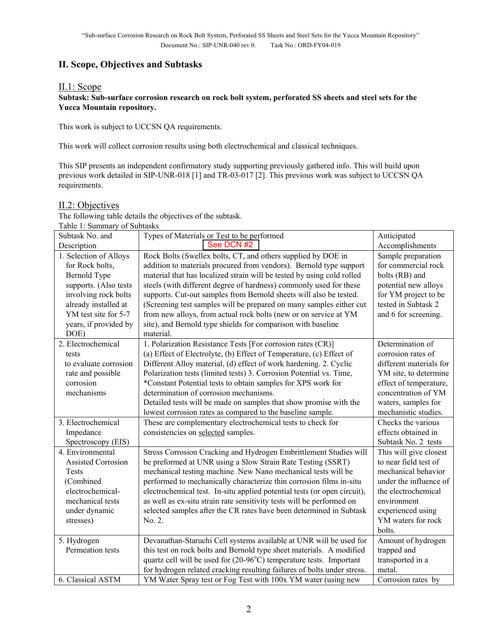# **II. Scope, Objectives and Subtasks**

## II.1: Scope

### **Subtask: Sub-surface corrosion research on rock bolt system, perforated SS sheets and steel sets for the Yucca Mountain repository.**

This work is subject to UCCSN QA requirements.

This work will collect corrosion results using both electrochemical and classical techniques.

This SIP presents an independent confirmatory study supporting previously gathered info. This will build upon previous work detailed in SIP-UNR-018 [1] and TR-03-017 [2]. This previous work was subject to UCCSN QA requirements.

### II.2: Objectives

The following table details the objectives of the subtask. Table 1: Summary of Subtasks

| raoic 1. Bunningi y or Bublashs |                                                                              |                         |
|---------------------------------|------------------------------------------------------------------------------|-------------------------|
| Subtask No. and                 | Types of Materials or Test to be performed                                   | Anticipated             |
| Description                     | See DCN #2                                                                   | Accomplishments         |
| 1. Selection of Alloys          | Rock Bolts (Swellex bolts, CT, and others supplied by DOE in                 | Sample preparation      |
| for Rock bolts,                 | addition to materials procured from vendors). Bernold type support           | for commercial rock     |
| Bernold Type                    | material that has localized strain will be tested by using cold rolled       | bolts (RB) and          |
| supports. (Also tests           | steels (with different degree of hardness) commonly used for these           | potential new alloys    |
| involving rock bolts            | supports. Cut-out samples from Bernold sheets will also be tested.           | for YM project to be    |
| already installed at            | (Screening test samples will be prepared on many samples either cut          | tested in Subtask 2     |
| YM test site for 5-7            | from new alloys, from actual rock bolts (new or on service at YM             | and 6 for screening.    |
| years, if provided by           | site), and Bernold type shields for comparison with baseline                 |                         |
| DOE)                            | material.                                                                    |                         |
| 2. Electrochemical              | 1. Polarization Resistance Tests [For corrosion rates (CR)]                  | Determination of        |
| tests                           | (a) Effect of Electrolyte, (b) Effect of Temperature, (c) Effect of          | corrosion rates of      |
| to evaluate corrosion           | Different Alloy material, (d) effect of work hardening. 2. Cyclic            | different materials for |
| rate and possible               | Polarization tests (limited tests) 3. Corrosion Potential vs. Time,          | YM site, to determine   |
| corrosion                       | *Constant Potential tests to obtain samples for XPS work for                 | effect of temperature,  |
| mechanisms                      | determination of corrosion mechanisms.                                       | concentration of YM     |
|                                 | Detailed tests will be made on samples that show promise with the            | waters, samples for     |
|                                 | lowest corrosion rates as compared to the baseline sample.                   | mechanistic studies.    |
| 3. Electrochemical              | These are complementary electrochemical tests to check for                   | Checks the various      |
| Impedance                       | consistencies on selected samples.                                           | effects obtained in     |
| Spectroscopy (EIS)              |                                                                              | Subtask No. 2 tests     |
| 4. Environmental                | Stress Corrosion Cracking and Hydrogen Embrittlement Studies will            | This will give closest  |
| <b>Assisted Corrosion</b>       | be preformed at UNR using a Slow Strain Rate Testing (SSRT)                  | to near field test of   |
| Tests                           | mechanical testing machine. New Nano mechanical tests will be                | mechanical behavior     |
| (Combined                       | performed to mechanically characterize thin corrosion films in-situ          | under the influence of  |
| electrochemical-                | electrochemical test. In-situ applied potential tests (or open circuit),     | the electrochemical     |
| mechanical tests                | as well as ex-situ strain rate sensitivity tests will be performed on        | environment             |
| under dynamic                   | selected samples after the CR rates have been determined in Subtask          | experienced using       |
| stresses)                       | No. 2.                                                                       | YM waters for rock      |
|                                 |                                                                              | bolts.                  |
| 5. Hydrogen                     | Devanathan-Staruchi Cell systems available at UNR will be used for           | Amount of hydrogen      |
| Permeation tests                | this test on rock bolts and Bernold type sheet materials. A modified         | trapped and             |
|                                 | quartz cell will be used for $(20-96^{\circ}C)$ temperature tests. Important | transported in a        |
|                                 | for hydrogen related cracking resulting failures of bolts under stress.      | metal.                  |
| 6. Classical ASTM               | YM Water Spray test or Fog Test with 100x YM water (using new                | Corrosion rates by      |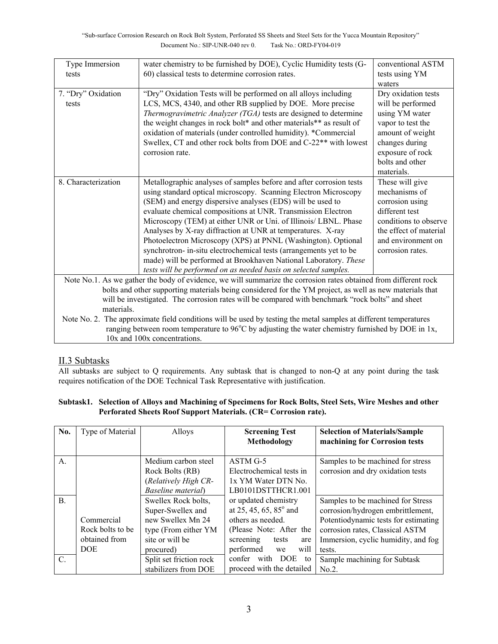| Type Immersion<br>tests                                                                                          | water chemistry to be furnished by DOE), Cyclic Humidity tests (G-<br>60) classical tests to determine corrosion rates.                                                                                                                                                                                                                                                                                                                                                                                                                                                                                                                                                              | conventional ASTM<br>tests using YM                                                                                                                                        |  |
|------------------------------------------------------------------------------------------------------------------|--------------------------------------------------------------------------------------------------------------------------------------------------------------------------------------------------------------------------------------------------------------------------------------------------------------------------------------------------------------------------------------------------------------------------------------------------------------------------------------------------------------------------------------------------------------------------------------------------------------------------------------------------------------------------------------|----------------------------------------------------------------------------------------------------------------------------------------------------------------------------|--|
|                                                                                                                  |                                                                                                                                                                                                                                                                                                                                                                                                                                                                                                                                                                                                                                                                                      | waters                                                                                                                                                                     |  |
| 7. "Dry" Oxidation<br>tests                                                                                      | "Dry" Oxidation Tests will be performed on all alloys including<br>LCS, MCS, 4340, and other RB supplied by DOE. More precise<br>Thermogravimetric Analyzer (TGA) tests are designed to determine<br>the weight changes in rock bolt* and other materials** as result of<br>oxidation of materials (under controlled humidity). *Commercial<br>Swellex, CT and other rock bolts from DOE and C-22 <sup>**</sup> with lowest<br>corrosion rate.                                                                                                                                                                                                                                       | Dry oxidation tests<br>will be performed<br>using YM water<br>vapor to test the<br>amount of weight<br>changes during<br>exposure of rock<br>bolts and other<br>materials. |  |
| 8. Characterization                                                                                              | Metallographic analyses of samples before and after corrosion tests<br>using standard optical microscopy. Scanning Electron Microscopy<br>(SEM) and energy dispersive analyses (EDS) will be used to<br>evaluate chemical compositions at UNR. Transmission Electron<br>Microscopy (TEM) at either UNR or Uni. of Illinois/ LBNL. Phase<br>Analyses by X-ray diffraction at UNR at temperatures. X-ray<br>Photoelectron Microscopy (XPS) at PNNL (Washington). Optional<br>synchrotron- in-situ electrochemical tests (arrangements yet to be<br>made) will be performed at Brookhaven National Laboratory. These<br>tests will be performed on as needed basis on selected samples. | These will give<br>mechanisms of<br>corrosion using<br>different test<br>conditions to observe<br>the effect of material<br>and environment on<br>corrosion rates.         |  |
| Note No.1. As we gather the body of evidence, we will summarize the corrosion rates obtained from different rock |                                                                                                                                                                                                                                                                                                                                                                                                                                                                                                                                                                                                                                                                                      |                                                                                                                                                                            |  |
| bolts and other supporting materials being considered for the YM project, as well as new materials that          |                                                                                                                                                                                                                                                                                                                                                                                                                                                                                                                                                                                                                                                                                      |                                                                                                                                                                            |  |
| will be investigated. The corrosion rates will be compared with benchmark "rock bolts" and sheet                 |                                                                                                                                                                                                                                                                                                                                                                                                                                                                                                                                                                                                                                                                                      |                                                                                                                                                                            |  |
| materials.                                                                                                       |                                                                                                                                                                                                                                                                                                                                                                                                                                                                                                                                                                                                                                                                                      |                                                                                                                                                                            |  |
| Note No. 2. The approximate field conditions will be used by testing the metal samples at different temperatures |                                                                                                                                                                                                                                                                                                                                                                                                                                                                                                                                                                                                                                                                                      |                                                                                                                                                                            |  |
| ranging between room temperature to 96°C by adjusting the water chemistry furnished by DOE in 1x,                |                                                                                                                                                                                                                                                                                                                                                                                                                                                                                                                                                                                                                                                                                      |                                                                                                                                                                            |  |
|                                                                                                                  | 10x and 100x concentrations.                                                                                                                                                                                                                                                                                                                                                                                                                                                                                                                                                                                                                                                         |                                                                                                                                                                            |  |

# II.3 Subtasks

All subtasks are subject to Q requirements. Any subtask that is changed to non-Q at any point during the task requires notification of the DOE Technical Task Representative with justification.

## **Subtask1. Selection of Alloys and Machining of Specimens for Rock Bolts, Steel Sets, Wire Meshes and other Perforated Sheets Roof Support Materials. (CR= Corrosion rate).**

| No.            | Type of Material                                              | Alloys                                                                                                                | <b>Screening Test</b><br>Methodology                                                                                                                             | <b>Selection of Materials/Sample</b><br>machining for Corrosion tests                                                                                                                              |
|----------------|---------------------------------------------------------------|-----------------------------------------------------------------------------------------------------------------------|------------------------------------------------------------------------------------------------------------------------------------------------------------------|----------------------------------------------------------------------------------------------------------------------------------------------------------------------------------------------------|
| A.             |                                                               | Medium carbon steel<br>Rock Bolts (RB)<br>(Relatively High CR-<br>Baseline material)                                  | $ASTM G-5$<br>Electrochemical tests in<br>1x YM Water DTN No.<br>LB0101DSTTHCR1.001                                                                              | Samples to be machined for stress<br>corrosion and dry oxidation tests                                                                                                                             |
| $\mathbf{B}$ . | Commercial<br>Rock bolts to be<br>obtained from<br><b>DOE</b> | Swellex Rock bolts,<br>Super-Swellex and<br>new Swellex Mn 24<br>type (From either YM<br>site or will be<br>procured) | or updated chemistry<br>at 25, 45, 65, 85 $^{\circ}$ and<br>others as needed.<br>(Please Note: After the<br>screening<br>tests<br>are<br>performed<br>will<br>we | Samples to be machined for Stress<br>corrosion/hydrogen embrittlement,<br>Potentiodynamic tests for estimating<br>corrosion rates, Classical ASTM<br>Immersion, cyclic humidity, and fog<br>tests. |
| $\mathcal{C}$  |                                                               | Split set friction rock<br>stabilizers from DOE                                                                       | confer with DOE<br>to<br>proceed with the detailed                                                                                                               | Sample machining for Subtask<br>No.2.                                                                                                                                                              |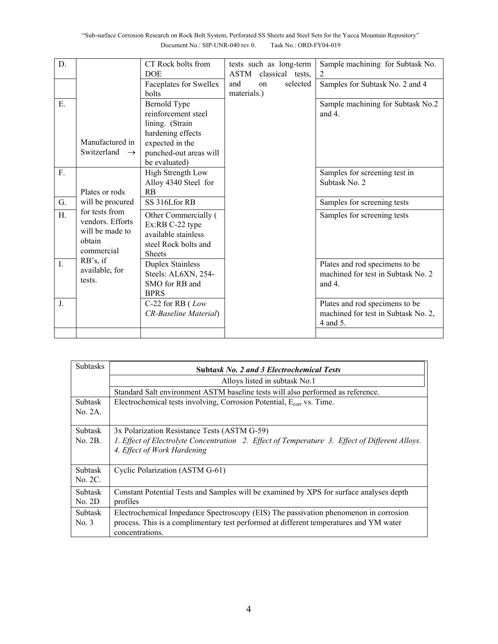| D.             |                           | CT Rock bolts from      | tests such as long-term | Sample machining for Subtask No.    |
|----------------|---------------------------|-------------------------|-------------------------|-------------------------------------|
|                |                           | <b>DOE</b>              | ASTM classical tests,   | 2                                   |
|                |                           | Faceplates for Swellex  | and<br>selected<br>on   | Samples for Subtask No. 2 and 4     |
|                |                           | bolts                   | materials.)             |                                     |
| Ε.             |                           | Bernold Type            |                         | Sample machining for Subtask No.2   |
|                |                           | reinforcement steel     |                         | and $4$ .                           |
|                |                           | lining. (Strain         |                         |                                     |
|                |                           | hardening effects       |                         |                                     |
|                | Manufactured in           | expected in the         |                         |                                     |
|                | Switzerland $\rightarrow$ | punched-out areas will  |                         |                                     |
|                |                           | be evaluated)           |                         |                                     |
| $F_{\cdot}$    |                           | High Strength Low       |                         | Samples for screening test in       |
|                |                           | Alloy 4340 Steel for    |                         | Subtask No. 2                       |
|                | Plates or rods            | RB                      |                         |                                     |
| G.             | will be procured          | SS 316Lfor RB           |                         | Samples for screening tests         |
| H.             | for tests from            | Other Commercially (    |                         | Samples for screening tests         |
|                | vendors. Efforts          | Ex:RB C-22 type         |                         |                                     |
|                | will be made to           | available stainless     |                         |                                     |
|                | obtain                    | steel Rock bolts and    |                         |                                     |
|                | commercial                | <b>Sheets</b>           |                         |                                     |
| $\mathbf{I}$ . | RB's, if                  | <b>Duplex Stainless</b> |                         | Plates and rod specimens to be      |
|                | available, for            | Steels: AL6XN, 254-     |                         | machined for test in Subtask No. 2  |
|                | tests.                    | SMO for RB and          |                         | and 4.                              |
|                |                           | <b>BPRS</b>             |                         |                                     |
| J <sub>1</sub> |                           | C-22 for RB $(Low)$     |                         | Plates and rod specimens to be      |
|                |                           | CR-Baseline Material)   |                         | machined for test in Subtask No. 2, |
|                |                           |                         |                         | 4 and 5.                            |
|                |                           |                         |                         |                                     |

| <b>Subtasks</b> | <b>Subtask No. 2 and 3 Electrochemical Tests</b>                                               |
|-----------------|------------------------------------------------------------------------------------------------|
|                 | Alloys listed in subtask No.1                                                                  |
|                 | Standard Salt environment ASTM baseline tests will also performed as reference.                |
| <b>Subtask</b>  | Electrochemical tests involving, Corrosion Potential, $E_{corr}$ vs. Time.                     |
| No. 2A.         |                                                                                                |
| Subtask         | 3x Polarization Resistance Tests (ASTM G-59)                                                   |
| No. 2B.         | 1. Effect of Electrolyte Concentration 2. Effect of Temperature 3. Effect of Different Alloys. |
|                 | 4. Effect of Work Hardening                                                                    |
| Subtask         | Cyclic Polarization (ASTM G-61)                                                                |
| No. 2C.         |                                                                                                |
| <b>Subtask</b>  | Constant Potential Tests and Samples will be examined by XPS for surface analyses depth        |
| No. 2D          | profiles                                                                                       |
| <b>Subtask</b>  | Electrochemical Impedance Spectroscopy (EIS) The passivation phenomenon in corrosion           |
| No. 3           | process. This is a complimentary test performed at different temperatures and YM water         |
|                 | concentrations.                                                                                |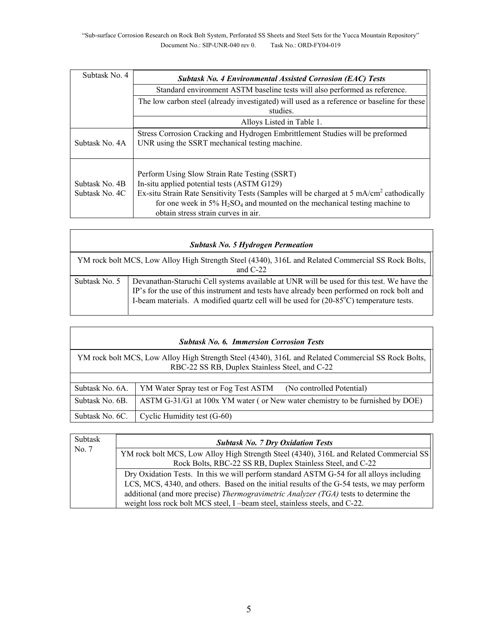| Subtask No. 4                    | <b>Subtask No. 4 Environmental Assisted Corrosion (EAC) Tests</b>                                                                                                                                                                                                                                                                                   |  |  |
|----------------------------------|-----------------------------------------------------------------------------------------------------------------------------------------------------------------------------------------------------------------------------------------------------------------------------------------------------------------------------------------------------|--|--|
|                                  | Standard environment ASTM baseline tests will also performed as reference.                                                                                                                                                                                                                                                                          |  |  |
|                                  | The low carbon steel (already investigated) will used as a reference or baseline for these<br>studies.                                                                                                                                                                                                                                              |  |  |
|                                  | Alloys Listed in Table 1.                                                                                                                                                                                                                                                                                                                           |  |  |
| Subtask No. 4A                   | Stress Corrosion Cracking and Hydrogen Embrittlement Studies will be preformed<br>UNR using the SSRT mechanical testing machine.                                                                                                                                                                                                                    |  |  |
| Subtask No. 4B<br>Subtask No. 4C | Perform Using Slow Strain Rate Testing (SSRT)<br>In-situ applied potential tests (ASTM G129)<br>Ex-situ Strain Rate Sensitivity Tests (Samples will be charged at 5 mA/cm <sup>2</sup> cathodically<br>for one week in $5\%$ H <sub>2</sub> SO <sub>4</sub> and mounted on the mechanical testing machine to<br>obtain stress strain curves in air. |  |  |

| <b>Subtask No. 5 Hydrogen Permeation</b> |                                                                                                                                                                                                                                                                                   |  |
|------------------------------------------|-----------------------------------------------------------------------------------------------------------------------------------------------------------------------------------------------------------------------------------------------------------------------------------|--|
|                                          | YM rock bolt MCS, Low Alloy High Strength Steel (4340), 316L and Related Commercial SS Rock Bolts,<br>and $C-22$                                                                                                                                                                  |  |
| Subtask No. 5                            | Devanathan-Staruchi Cell systems available at UNR will be used for this test. We have the<br>IP's for the use of this instrument and tests have already been performed on rock bolt and<br>I-beam materials. A modified quartz cell will be used for (20-85°C) temperature tests. |  |

| <b>Subtask No. 6. Immersion Corrosion Tests</b>                                                                                                      |                                                                               |  |  |  |  |  |  |  |
|------------------------------------------------------------------------------------------------------------------------------------------------------|-------------------------------------------------------------------------------|--|--|--|--|--|--|--|
| YM rock bolt MCS, Low Alloy High Strength Steel (4340), 316L and Related Commercial SS Rock Bolts,<br>RBC-22 SS RB, Duplex Stainless Steel, and C-22 |                                                                               |  |  |  |  |  |  |  |
|                                                                                                                                                      |                                                                               |  |  |  |  |  |  |  |
| Subtask No. 6A.                                                                                                                                      | YM Water Spray test or Fog Test ASTM<br>(No controlled Potential)             |  |  |  |  |  |  |  |
| Subtask No. 6B.                                                                                                                                      | ASTM G-31/G1 at 100x YM water (or New water chemistry to be furnished by DOE) |  |  |  |  |  |  |  |
| Subtask No. 6C.                                                                                                                                      | Cyclic Humidity test (G-60)                                                   |  |  |  |  |  |  |  |

| Subtask | <b>Subtask No. 7 Dry Oxidation Tests</b>                                                     |  |  |  |  |  |  |  |  |  |  |  |
|---------|----------------------------------------------------------------------------------------------|--|--|--|--|--|--|--|--|--|--|--|
| No. 7   | YM rock bolt MCS, Low Alloy High Strength Steel (4340), 316L and Related Commercial SS       |  |  |  |  |  |  |  |  |  |  |  |
|         | Rock Bolts, RBC-22 SS RB, Duplex Stainless Steel, and C-22                                   |  |  |  |  |  |  |  |  |  |  |  |
|         | Dry Oxidation Tests. In this we will perform standard ASTM G-54 for all alloys including     |  |  |  |  |  |  |  |  |  |  |  |
|         | LCS, MCS, 4340, and others. Based on the initial results of the G-54 tests, we may perform   |  |  |  |  |  |  |  |  |  |  |  |
|         | additional (and more precise) <i>Thermogravimetric Analyzer (TGA)</i> tests to determine the |  |  |  |  |  |  |  |  |  |  |  |
|         | weight loss rock bolt MCS steel, I -beam steel, stainless steels, and C-22.                  |  |  |  |  |  |  |  |  |  |  |  |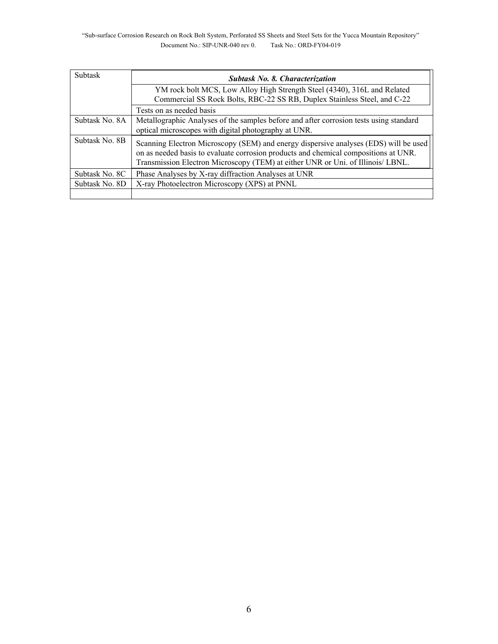| <b>Subtask</b> | <b>Subtask No. 8. Characterization</b>                                                                                                                                                                                                                         |  |  |  |  |  |  |  |  |  |
|----------------|----------------------------------------------------------------------------------------------------------------------------------------------------------------------------------------------------------------------------------------------------------------|--|--|--|--|--|--|--|--|--|
|                | YM rock bolt MCS, Low Alloy High Strength Steel (4340), 316L and Related                                                                                                                                                                                       |  |  |  |  |  |  |  |  |  |
|                | Commercial SS Rock Bolts, RBC-22 SS RB, Duplex Stainless Steel, and C-22                                                                                                                                                                                       |  |  |  |  |  |  |  |  |  |
|                | Tests on as needed basis                                                                                                                                                                                                                                       |  |  |  |  |  |  |  |  |  |
| Subtask No. 8A | Metallographic Analyses of the samples before and after corrosion tests using standard                                                                                                                                                                         |  |  |  |  |  |  |  |  |  |
|                | optical microscopes with digital photography at UNR.                                                                                                                                                                                                           |  |  |  |  |  |  |  |  |  |
| Subtask No. 8B | Scanning Electron Microscopy (SEM) and energy dispersive analyses (EDS) will be used<br>on as needed basis to evaluate corrosion products and chemical compositions at UNR.<br>Transmission Electron Microscopy (TEM) at either UNR or Uni. of Illinois/ LBNL. |  |  |  |  |  |  |  |  |  |
| Subtask No. 8C | Phase Analyses by X-ray diffraction Analyses at UNR                                                                                                                                                                                                            |  |  |  |  |  |  |  |  |  |
| Subtask No. 8D | X-ray Photoelectron Microscopy (XPS) at PNNL                                                                                                                                                                                                                   |  |  |  |  |  |  |  |  |  |
|                |                                                                                                                                                                                                                                                                |  |  |  |  |  |  |  |  |  |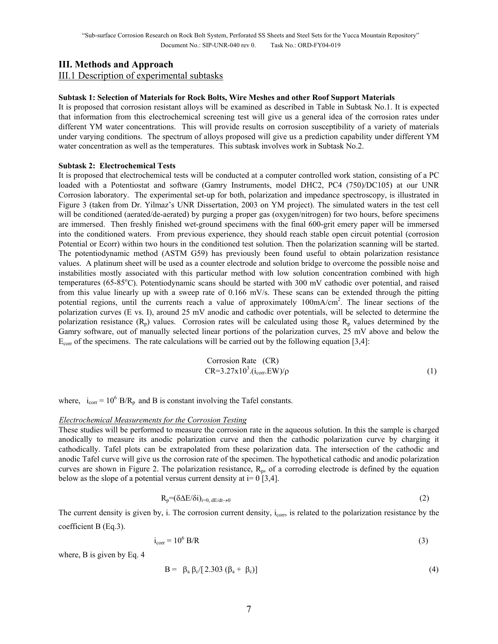# **III. Methods and Approach**

III.1 Description of experimental subtasks

#### **Subtask 1: Selection of Materials for Rock Bolts, Wire Meshes and other Roof Support Materials**

It is proposed that corrosion resistant alloys will be examined as described in Table in Subtask No.1. It is expected that information from this electrochemical screening test will give us a general idea of the corrosion rates under different YM water concentrations. This will provide results on corrosion susceptibility of a variety of materials under varying conditions. The spectrum of alloys proposed will give us a prediction capability under different YM water concentration as well as the temperatures. This subtask involves work in Subtask No.2.

#### **Subtask 2: Electrochemical Tests**

It is proposed that electrochemical tests will be conducted at a computer controlled work station, consisting of a PC loaded with a Potentiostat and software (Gamry Instruments, model DHC2, PC4 (750)/DC105) at our UNR Corrosion laboratory. The experimental set-up for both, polarization and impedance spectroscopy, is illustrated in Figure 3 (taken from Dr. Yilmaz's UNR Dissertation, 2003 on YM project). The simulated waters in the test cell will be conditioned (aerated/de-aerated) by purging a proper gas (oxygen/nitrogen) for two hours, before specimens are immersed. Then freshly finished wet-ground specimens with the final 600-grit emery paper will be immersed into the conditioned waters. From previous experience, they should reach stable open circuit potential (corrosion Potential or Ecorr) within two hours in the conditioned test solution. Then the polarization scanning will be started. The potentiodynamic method (ASTM G59) has previously been found useful to obtain polarization resistance values. A platinum sheet will be used as a counter electrode and solution bridge to overcome the possible noise and instabilities mostly associated with this particular method with low solution concentration combined with high temperatures (65-85°C). Potentiodynamic scans should be started with 300 mV cathodic over potential, and raised from this value linearly up with a sweep rate of 0.166 mV/s. These scans can be extended through the pitting potential regions, until the currents reach a value of approximately 100mA/cm<sup>2</sup>. The linear sections of the polarization curves (E vs. I), around 25 mV anodic and cathodic over potentials, will be selected to determine the polarization resistance  $(R_p)$  values. Corrosion rates will be calculated using those  $R_p$  values determined by the Gamry software, out of manually selected linear portions of the polarization curves, 25 mV above and below the  $E_{\text{corr}}$  of the specimens. The rate calculations will be carried out by the following equation [3,4]:

Corrosion Rate (CR)  
CR=3.27x10<sup>3</sup>.(i<sub>cor</sub>.EW)/
$$
\rho
$$
 (1)

where,  $i_{corr} = 10^6$  B/R<sub>p</sub> and B is constant involving the Tafel constants.

#### *Electrochemical Measurements for the Corrosion Testing*

These studies will be performed to measure the corrosion rate in the aqueous solution. In this the sample is charged anodically to measure its anodic polarization curve and then the cathodic polarization curve by charging it cathodically. Tafel plots can be extrapolated from these polarization data. The intersection of the cathodic and anodic Tafel curve will give us the corrosion rate of the specimen. The hypothetical cathodic and anodic polarization curves are shown in Figure 2. The polarization resistance,  $R_p$ , of a corroding electrode is defined by the equation below as the slope of a potential versus current density at  $i=0$  [3,4].

$$
R_p = (\delta \Delta E / \delta i)_{i=0, dE/dt \to 0}
$$
 (2)

The current density is given by, i. The corrosion current density, i<sub>corr</sub>, is related to the polarization resistance by the coefficient B (Eq.3).

$$
i_{corr} = 10^6 \text{ B/R}
$$
 (3)

where, B is given by Eq. 4

$$
B = \beta_a \beta_c [2.303 (\beta_a + \beta_c)] \tag{4}
$$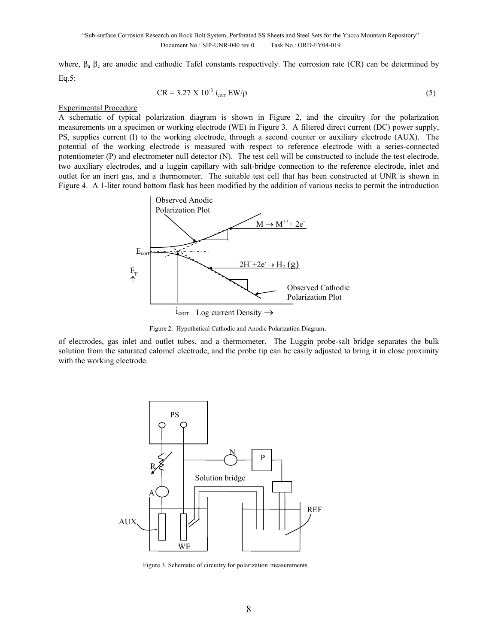where,  $\beta_a$   $\beta_c$  are anodic and cathodic Tafel constants respectively. The corrosion rate (CR) can be determined by Eq.5:

$$
CR = 3.27 \text{ X } 10^{-3} \text{ i}_{\text{corr}} \text{ EW/p} \tag{5}
$$

#### Experimental Procedure

A schematic of typical polarization diagram is shown in Figure 2, and the circuitry for the polarization measurements on a specimen or working electrode (WE) in Figure 3. A filtered direct current (DC) power supply, PS, supplies current (I) to the working electrode, through a second counter or auxiliary electrode (AUX). The potential of the working electrode is measured with respect to reference electrode with a series-connected potentiometer (P) and electrometer null detector (N). The test cell will be constructed to include the test electrode, two auxiliary electrodes, and a luggin capillary with salt-bridge connection to the reference electrode, inlet and outlet for an inert gas, and a thermometer. The suitable test cell that has been constructed at UNR is shown in Figure 4. A 1-liter round bottom flask has been modified by the addition of various necks to permit the introduction



Figure 2. Hypothetical Cathodic and Anodic Polarization Diagram.

of electrodes, gas inlet and outlet tubes, and a thermometer. The Luggin probe-salt bridge separates the bulk solution from the saturated calomel electrode, and the probe tip can be easily adjusted to bring it in close proximity with the working electrode.



Figure 3. Schematic of circuitry for polarization measurements.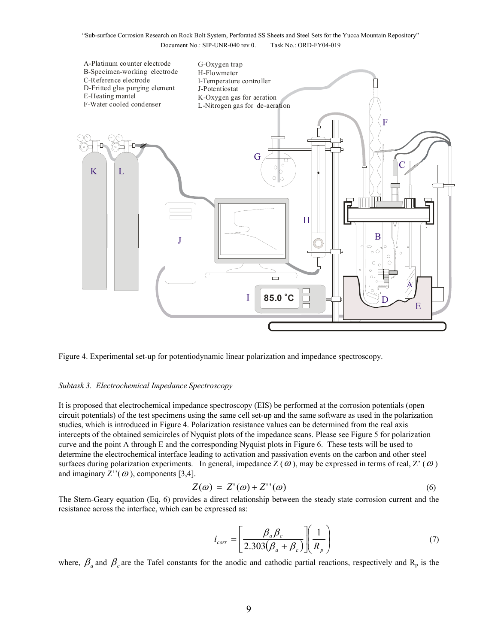

Figure 4. Experimental set-up for potentiodynamic linear polarization and impedance spectroscopy.

#### *Subtask 3. Electrochemical Impedance Spectroscopy*

It is proposed that electrochemical impedance spectroscopy (EIS) be performed at the corrosion potentials (open circuit potentials) of the test specimens using the same cell set-up and the same software as used in the polarization studies, which is introduced in Figure 4. Polarization resistance values can be determined from the real axis intercepts of the obtained semicircles of Nyquist plots of the impedance scans. Please see Figure 5 for polarization curve and the point A through E and the corresponding Nyquist plots in Figure 6. These tests will be used to determine the electrochemical interface leading to activation and passivation events on the carbon and other steel surfaces during polarization experiments. In general, impedance  $Z(\omega)$ , may be expressed in terms of real,  $Z'(\omega)$ and imaginary  $Z''(\omega)$ , components [3,4].

$$
Z(\omega) = Z'(\omega) + Z''(\omega) \tag{6}
$$

The Stern-Geary equation (Eq. 6) provides a direct relationship between the steady state corrosion current and the resistance across the interface, which can be expressed as:

$$
i_{corr} = \left[\frac{\beta_a \beta_c}{2.303(\beta_a + \beta_c)}\right] \left(\frac{1}{R_p}\right)
$$
(7)

where,  $\beta_a$  and  $\beta_c$  are the Tafel constants for the anodic and cathodic partial reactions, respectively and R<sub>p</sub> is the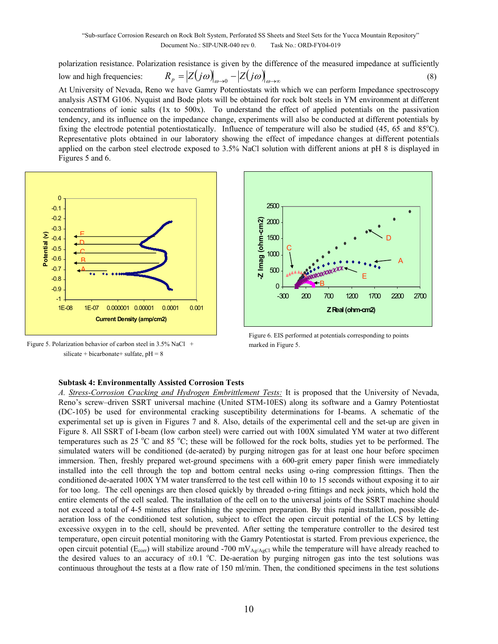polarization resistance. Polarization resistance is given by the difference of the measured impedance at sufficiently

Figures 5 and 6.

low and high frequencies:  $R_p = |Z(j\omega)|_{\omega \to 0} - |Z(j\omega)|_{\omega \to \infty}$  (8) At University of Nevada, Reno we have Gamry Potentiostats with which we can perform Impedance spectroscopy analysis ASTM G106. Nyquist and Bode plots will be obtained for rock bolt steels in YM environment at different concentrations of ionic salts (1x to 500x). To understand the effect of applied potentials on the passivation tendency, and its influence on the impedance change, experiments will also be conducted at different potentials by fixing the electrode potential potentiostatically. Influence of temperature will also be studied  $(45, 65 \text{ and } 85^{\circ}\text{C})$ . Representative plots obtained in our laboratory showing the effect of impedance changes at different potentials applied on the carbon steel electrode exposed to 3.5% NaCl solution with different anions at pH 8 is displayed in



Figure 5. Polarization behavior of carbon steel in 3.5% NaCl + silicate + bicarbonate + sulfate,  $pH = 8$ 



Figure 6. EIS performed at potentials corresponding to points marked in Figure 5.

### **Subtask 4: Environmentally Assisted Corrosion Tests**

*A. Stress-Corrosion Cracking and Hydrogen Embrittlement Tests:* It is proposed that the University of Nevada, Reno's screw–driven SSRT universal machine (United STM-10ES) along its software and a Gamry Potentiostat (DC-105) be used for environmental cracking susceptibility determinations for I-beams. A schematic of the experimental set up is given in Figures 7 and 8. Also, details of the experimental cell and the set-up are given in Figure 8. All SSRT of I-beam (low carbon steel) were carried out with 100X simulated YM water at two different temperatures such as 25  $\degree$ C and 85  $\degree$ C; these will be followed for the rock bolts, studies yet to be performed. The simulated waters will be conditioned (de-aerated) by purging nitrogen gas for at least one hour before specimen immersion. Then, freshly prepared wet-ground specimens with a 600-grit emery paper finish were immediately installed into the cell through the top and bottom central necks using o-ring compression fittings. Then the conditioned de-aerated 100X YM water transferred to the test cell within 10 to 15 seconds without exposing it to air for too long. The cell openings are then closed quickly by threaded o-ring fittings and neck joints, which hold the entire elements of the cell sealed. The installation of the cell on to the universal joints of the SSRT machine should not exceed a total of 4-5 minutes after finishing the specimen preparation. By this rapid installation, possible deaeration loss of the conditioned test solution, subject to effect the open circuit potential of the LCS by letting excessive oxygen in to the cell, should be prevented. After setting the temperature controller to the desired test temperature, open circuit potential monitoring with the Gamry Potentiostat is started. From previous experience, the open circuit potential ( $E_{\text{corr}}$ ) will stabilize around -700 mV<sub>Ag/AgCl</sub> while the temperature will have already reached to the desired values to an accuracy of  $\pm 0.1$  °C. De-aeration by purging nitrogen gas into the test solutions was continuous throughout the tests at a flow rate of 150 ml/min. Then, the conditioned specimens in the test solutions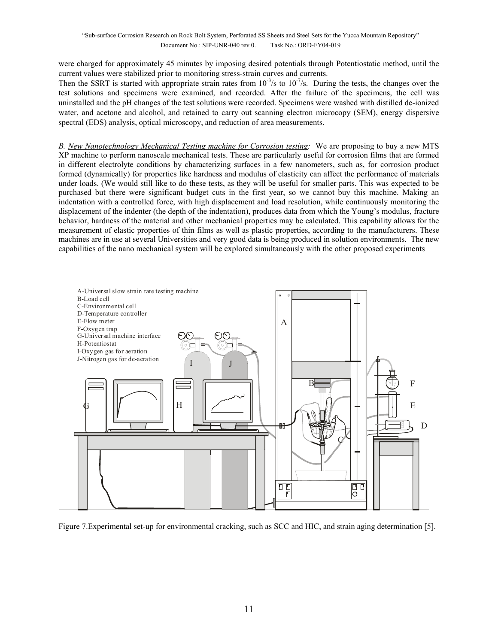were charged for approximately 45 minutes by imposing desired potentials through Potentiostatic method, until the current values were stabilized prior to monitoring stress-strain curves and currents.

Then the SSRT is started with appropriate strain rates from  $10^{-3}/s$  to  $10^{-7}/s$ . During the tests, the changes over the test solutions and specimens were examined, and recorded. After the failure of the specimens, the cell was uninstalled and the pH changes of the test solutions were recorded. Specimens were washed with distilled de-ionized water, and acetone and alcohol, and retained to carry out scanning electron microcopy (SEM), energy dispersive spectral (EDS) analysis, optical microscopy, and reduction of area measurements.

*B. New Nanotechnology Mechanical Testing machine for Corrosion testing:* We are proposing to buy a new MTS XP machine to perform nanoscale mechanical tests. These are particularly useful for corrosion films that are formed in different electrolyte conditions by characterizing surfaces in a few nanometers, such as, for corrosion product formed (dynamically) for properties like hardness and modulus of elasticity can affect the performance of materials under loads. (We would still like to do these tests, as they will be useful for smaller parts. This was expected to be purchased but there were significant budget cuts in the first year, so we cannot buy this machine. Making an indentation with a controlled force, with high displacement and load resolution, while continuously monitoring the displacement of the indenter (the depth of the indentation), produces data from which the Young's modulus, fracture behavior, hardness of the material and other mechanical properties may be calculated. This capability allows for the measurement of elastic properties of thin films as well as plastic properties, according to the manufacturers. These machines are in use at several Universities and very good data is being produced in solution environments. The new capabilities of the nano mechanical system will be explored simultaneously with the other proposed experiments



Figure 7.Experimental set-up for environmental cracking, such as SCC and HIC, and strain aging determination [5].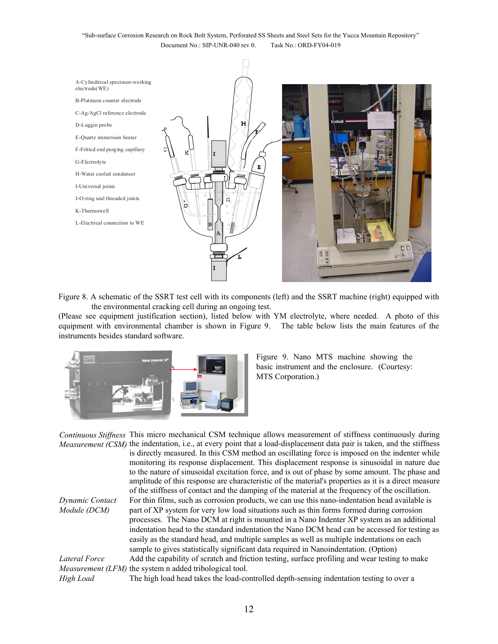

Figure 8. A schematic of the SSRT test cell with its components (left) and the SSRT machine (right) equipped with the environmental cracking cell during an ongoing test.

(Please see equipment justification section), listed below with YM electrolyte, where needed. A photo of this equipment with environmental chamber is shown in Figure 9. The table below lists the main features of the instruments besides standard software.



Figure 9. Nano MTS machine showing the basic instrument and the enclosure. (Courtesy: MTS Corporation.)

*Continuous Stiffness*  This micro mechanical CSM technique allows measurement of stiffness continuously during *Measurement (CSM)* the indentation, i.e., at every point that a load-displacement data pair is taken, and the stiffness is directly measured. In this CSM method an oscillating force is imposed on the indenter while monitoring its response displacement. This displacement response is sinusoidal in nature due to the nature of sinusoidal excitation force, and is out of phase by some amount. The phase and amplitude of this response are characteristic of the material's properties as it is a direct measure of the stiffness of contact and the damping of the material at the frequency of the oscillation. *Dynamic Contact Module (DCM)* For thin films, such as corrosion products, we can use this nano-indentation head available is part of XP system for very low load situations such as thin forms formed during corrosion processes. The Nano DCM at right is mounted in a Nano Indenter XP system as an additional indentation head to the standard indentation the Nano DCM head can be accessed for testing as easily as the standard head, and multiple samples as well as multiple indentations on each sample to gives statistically significant data required in Nanoindentation. (Option) *Lateral Force Measurement (LFM)* the system n added tribological tool. Add the capability of scratch and friction testing, surface profiling and wear testing to make

*High Load* The high load head takes the load-controlled depth-sensing indentation testing to over a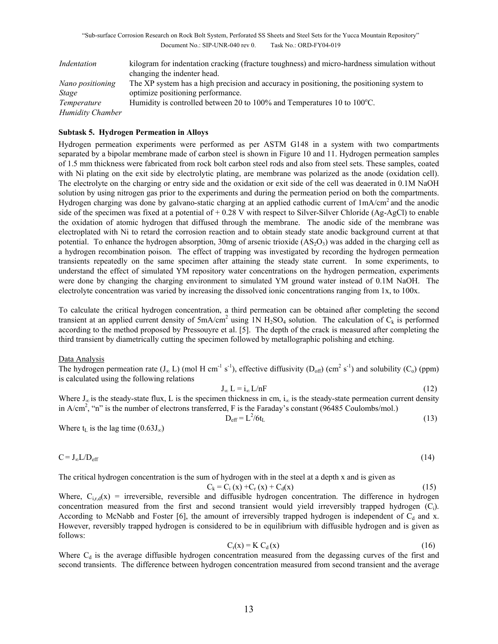| Indentation             | kilogram for indentation cracking (fracture toughness) and micro-hardness simulation without |
|-------------------------|----------------------------------------------------------------------------------------------|
|                         | changing the indenter head.                                                                  |
| Nano positioning        | The XP system has a high precision and accuracy in positioning, the positioning system to    |
| Stage                   | optimize positioning performance.                                                            |
| Temperature             | Humidity is controlled between 20 to 100% and Temperatures 10 to 100 $^{\circ}$ C.           |
| <b>Humidity Chamber</b> |                                                                                              |

### **Subtask 5. Hydrogen Permeation in Alloys**

Hydrogen permeation experiments were performed as per ASTM G148 in a system with two compartments separated by a bipolar membrane made of carbon steel is shown in Figure 10 and 11. Hydrogen permeation samples of 1.5 mm thickness were fabricated from rock bolt carbon steel rods and also from steel sets. These samples, coated with Ni plating on the exit side by electrolytic plating, are membrane was polarized as the anode (oxidation cell). The electrolyte on the charging or entry side and the oxidation or exit side of the cell was deaerated in 0.1M NaOH solution by using nitrogen gas prior to the experiments and during the permeation period on both the compartments. Hydrogen charging was done by galvano-static charging at an applied cathodic current of 1mA/cm2 and the anodic side of the specimen was fixed at a potential of + 0.28 V with respect to Silver-Silver Chloride (Ag-AgCl) to enable the oxidation of atomic hydrogen that diffused through the membrane. The anodic side of the membrane was electroplated with Ni to retard the corrosion reaction and to obtain steady state anodic background current at that potential. To enhance the hydrogen absorption, 30mg of arsenic trioxide  $(AS<sub>2</sub>O<sub>3</sub>)$  was added in the charging cell as a hydrogen recombination poison. The effect of trapping was investigated by recording the hydrogen permeation transients repeatedly on the same specimen after attaining the steady state current. In some experiments, to understand the effect of simulated YM repository water concentrations on the hydrogen permeation, experiments were done by changing the charging environment to simulated YM ground water instead of 0.1M NaOH. The electrolyte concentration was varied by increasing the dissolved ionic concentrations ranging from 1x, to 100x.

To calculate the critical hydrogen concentration, a third permeation can be obtained after completing the second transient at an applied current density of  $5mA/cm<sup>2</sup>$  using 1N H<sub>2</sub>SO<sub>4</sub> solution. The calculation of C<sub>k</sub> is performed according to the method proposed by Pressouyre et al. [5]. The depth of the crack is measured after completing the third transient by diametrically cutting the specimen followed by metallographic polishing and etching.

#### Data Analysis

The hydrogen permeation rate  $(J_\infty L)$  (mol H cm<sup>-1</sup> s<sup>-1</sup>), effective diffusivity  $(D_{off})$  (cm<sup>2</sup> s<sup>-1</sup>) and solubility (C<sub>o</sub>) (ppm) is calculated using the following relations

$$
J_{\infty} L = i_{\infty} L/nF
$$
 (12)

Where  $J_{\infty}$  is the steady-state flux, L is the specimen thickness in cm,  $i_{\infty}$  is the steady-state permeation current density in  $A/cm^2$ , "n" is the number of electrons transferred, F is the Faraday's constant (96485 Coulombs/mol.)

$$
D_{\rm eff} = L^2/6t_L
$$
 (13)

Where  $t<sub>L</sub>$  is the lag time (0.63J<sub>∞</sub>)

$$
C = J_{\infty} L / D_{eff} \tag{14}
$$

The critical hydrogen concentration is the sum of hydrogen with in the steel at a depth x and is given as

$$
C_k = C_i(x) + C_r(x) + C_d(x)
$$
\n(15)

Where,  $C_{i,r,d}(x)$  = irreversible, reversible and diffusible hydrogen concentration. The difference in hydrogen concentration measured from the first and second transient would yield irreversibly trapped hydrogen (Ci). According to McNabb and Foster [6], the amount of irreversibly trapped hydrogen is independent of  $C_d$  and x. However, reversibly trapped hydrogen is considered to be in equilibrium with diffusible hydrogen and is given as follows:

$$
C_r(x) = K C_d(x) \tag{16}
$$

Where  $C_d$  is the average diffusible hydrogen concentration measured from the degassing curves of the first and second transients. The difference between hydrogen concentration measured from second transient and the average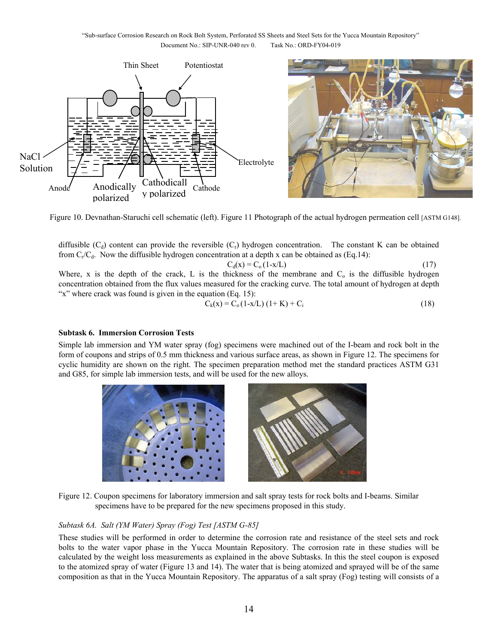

Figure 10. Devnathan-Staruchi cell schematic (left). Figure 11 Photograph of the actual hydrogen permeation cell [ASTM G148].

diffusible  $(C_d)$  content can provide the reversible  $(C_r)$  hydrogen concentration. The constant K can be obtained from  $C_r/C_d$ . Now the diffusible hydrogen concentration at a depth x can be obtained as (Eq.14):

$$
C_d(x) = C_o(1-x/L)
$$
\n(17)  
\nWhere, x is the depth of the crack, L is the thickness of the membrane and C<sub>o</sub> is the diffusible hydrogen  
\nconcentration obtained from the flux values measured for the cracking curve. The total amount of hydrogen at depth  
\n''x'' where crack was found is given in the equation (Eq. 15):

$$
C_k(x) = C_0 (1-x/L) (1+K) + C_i
$$
 (18)

### **Subtask 6. Immersion Corrosion Tests**

Simple lab immersion and YM water spray (fog) specimens were machined out of the I-beam and rock bolt in the form of coupons and strips of 0.5 mm thickness and various surface areas, as shown in Figure 12. The specimens for cyclic humidity are shown on the right. The specimen preparation method met the standard practices ASTM G31 and G85, for simple lab immersion tests, and will be used for the new alloys.



Figure 12. Coupon specimens for laboratory immersion and salt spray tests for rock bolts and I-beams. Similar specimens have to be prepared for the new specimens proposed in this study.

### *Subtask 6A. Salt (YM Water) Spray (Fog) Test [ASTM G-85]*

These studies will be performed in order to determine the corrosion rate and resistance of the steel sets and rock bolts to the water vapor phase in the Yucca Mountain Repository. The corrosion rate in these studies will be calculated by the weight loss measurements as explained in the above Subtasks. In this the steel coupon is exposed to the atomized spray of water (Figure 13 and 14). The water that is being atomized and sprayed will be of the same composition as that in the Yucca Mountain Repository. The apparatus of a salt spray (Fog) testing will consists of a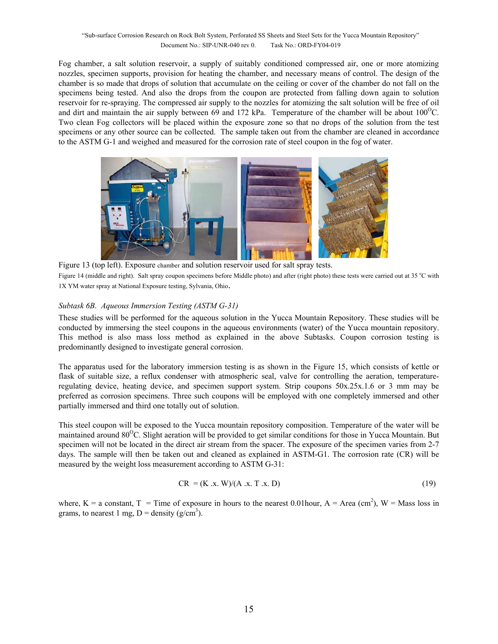Fog chamber, a salt solution reservoir, a supply of suitably conditioned compressed air, one or more atomizing nozzles, specimen supports, provision for heating the chamber, and necessary means of control. The design of the chamber is so made that drops of solution that accumulate on the ceiling or cover of the chamber do not fall on the specimens being tested. And also the drops from the coupon are protected from falling down again to solution reservoir for re-spraying. The compressed air supply to the nozzles for atomizing the salt solution will be free of oil and dirt and maintain the air supply between 69 and 172 kPa. Temperature of the chamber will be about  $100^{\circ}$ C. Two clean Fog collectors will be placed within the exposure zone so that no drops of the solution from the test specimens or any other source can be collected. The sample taken out from the chamber are cleaned in accordance to the ASTM G-1 and weighed and measured for the corrosion rate of steel coupon in the fog of water.



Figure 13 (top left). Exposure chamber and solution reservoir used for salt spray tests. Figure 14 (middle and right). Salt spray coupon specimens before Middle photo) and after (right photo) these tests were carried out at 35 °C with 1X YM water spray at National Exposure testing, Sylvania, Ohio.

### *Subtask 6B. Aqueous Immersion Testing (ASTM G-31)*

These studies will be performed for the aqueous solution in the Yucca Mountain Repository. These studies will be conducted by immersing the steel coupons in the aqueous environments (water) of the Yucca mountain repository. This method is also mass loss method as explained in the above Subtasks. Coupon corrosion testing is predominantly designed to investigate general corrosion.

The apparatus used for the laboratory immersion testing is as shown in the Figure 15, which consists of kettle or flask of suitable size, a reflux condenser with atmospheric seal, valve for controlling the aeration, temperatureregulating device, heating device, and specimen support system. Strip coupons 50x.25x.1.6 or 3 mm may be preferred as corrosion specimens. Three such coupons will be employed with one completely immersed and other partially immersed and third one totally out of solution.

This steel coupon will be exposed to the Yucca mountain repository composition. Temperature of the water will be maintained around 80<sup>o</sup>C. Slight aeration will be provided to get similar conditions for those in Yucca Mountain. But specimen will not be located in the direct air stream from the spacer. The exposure of the specimen varies from 2-7 days. The sample will then be taken out and cleaned as explained in ASTM-G1. The corrosion rate (CR) will be measured by the weight loss measurement according to ASTM G-31:

$$
CR = (K \, .x. \, W)/(A \, .x. \, T \, .x. \, D) \tag{19}
$$

where,  $K = a$  constant,  $T = T$  ime of exposure in hours to the nearest 0.01 hour,  $A = Area (cm<sup>2</sup>)$ ,  $W = Mass$  loss in grams, to nearest 1 mg,  $D =$  density (g/cm<sup>3</sup>).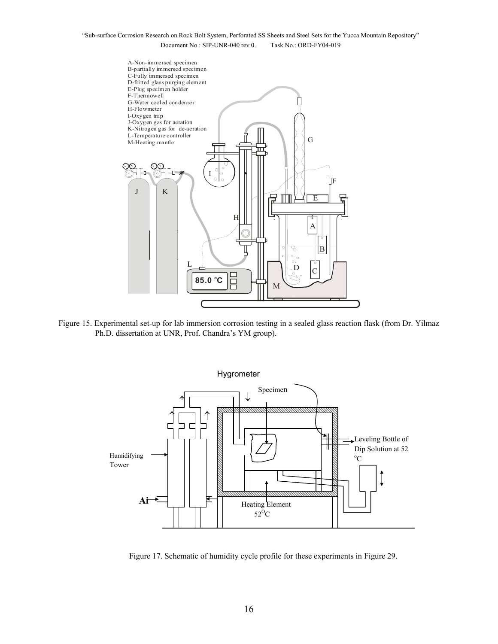

Figure 15. Experimental set-up for lab immersion corrosion testing in a sealed glass reaction flask (from Dr. Yilmaz Ph.D. dissertation at UNR, Prof. Chandra's YM group).



Figure 17. Schematic of humidity cycle profile for these experiments in Figure 29.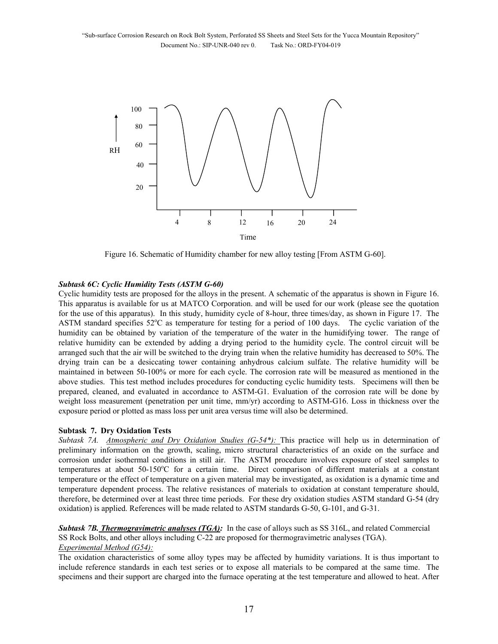

Figure 16. Schematic of Humidity chamber for new alloy testing [From ASTM G-60].

#### *Subtask 6C: Cyclic Humidity Tests (ASTM G-60)*

Cyclic humidity tests are proposed for the alloys in the present. A schematic of the apparatus is shown in Figure 16. This apparatus is available for us at MATCO Corporation. and will be used for our work (please see the quotation for the use of this apparatus). In this study, humidity cycle of 8-hour, three times/day, as shown in Figure 17. The ASTM standard specifies 52°C as temperature for testing for a period of 100 days. The cyclic variation of the humidity can be obtained by variation of the temperature of the water in the humidifying tower. The range of relative humidity can be extended by adding a drying period to the humidity cycle. The control circuit will be arranged such that the air will be switched to the drying train when the relative humidity has decreased to 50%. The drying train can be a desiccating tower containing anhydrous calcium sulfate. The relative humidity will be maintained in between 50-100% or more for each cycle. The corrosion rate will be measured as mentioned in the above studies. This test method includes procedures for conducting cyclic humidity tests. Specimens will then be prepared, cleaned, and evaluated in accordance to ASTM-G1. Evaluation of the corrosion rate will be done by weight loss measurement (penetration per unit time, mm/yr) according to ASTM-G16. Loss in thickness over the exposure period or plotted as mass loss per unit area versus time will also be determined.

#### **Subtask 7. Dry Oxidation Tests**

*Subtask 7A. Atmospheric and Dry Oxidation Studies (G-54\*):* This practice will help us in determination of preliminary information on the growth, scaling, micro structural characteristics of an oxide on the surface and corrosion under isothermal conditions in still air. The ASTM procedure involves exposure of steel samples to temperatures at about 50-150°C for a certain time. Direct comparison of different materials at a constant temperature or the effect of temperature on a given material may be investigated, as oxidation is a dynamic time and temperature dependent process. The relative resistances of materials to oxidation at constant temperature should, therefore, be determined over at least three time periods. For these dry oxidation studies ASTM standard G-54 (dry oxidation) is applied. References will be made related to ASTM standards G-50, G-101, and G-31.

*Subtask 7B. Thermogravimetric analyses (TGA):* In the case of alloys such as SS 316L, and related Commercial SS Rock Bolts, and other alloys including C-22 are proposed for thermogravimetric analyses (TGA). *Experimental Method (G54):*

The oxidation characteristics of some alloy types may be affected by humidity variations. It is thus important to include reference standards in each test series or to expose all materials to be compared at the same time. The specimens and their support are charged into the furnace operating at the test temperature and allowed to heat. After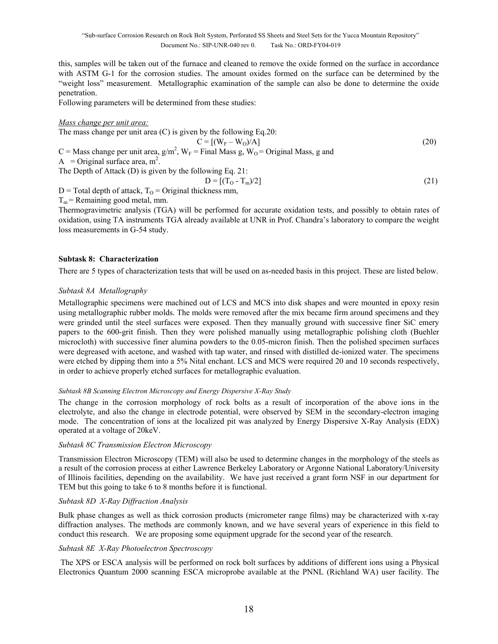this, samples will be taken out of the furnace and cleaned to remove the oxide formed on the surface in accordance with ASTM G-1 for the corrosion studies. The amount oxides formed on the surface can be determined by the "weight loss" measurement. Metallographic examination of the sample can also be done to determine the oxide penetration.

Following parameters will be determined from these studies:

#### *Mass change per unit area:*

The mass change per unit area (C) is given by the following Eq.20:  $C = [(W_F - W_O)/A]$  (20) C = Mass change per unit area,  $g/m^2$ ,  $W_F$  = Final Mass g,  $W_O$  = Original Mass, g and A = Original surface area,  $m^2$ . The Depth of Attack (D) is given by the following Eq. 21:  $D = [(T_0 - T_m)/2]$  (21)

 $D$  = Total depth of attack,  $T<sub>O</sub>$  = Original thickness mm,

 $T_m$  = Remaining good metal, mm.

Thermogravimetric analysis (TGA) will be performed for accurate oxidation tests, and possibly to obtain rates of oxidation, using TA instruments TGA already available at UNR in Prof. Chandra's laboratory to compare the weight loss measurements in G-54 study.

#### **Subtask 8: Characterization**

There are 5 types of characterization tests that will be used on as-needed basis in this project. These are listed below.

#### *Subtask 8A Metallography*

Metallographic specimens were machined out of LCS and MCS into disk shapes and were mounted in epoxy resin using metallographic rubber molds. The molds were removed after the mix became firm around specimens and they were grinded until the steel surfaces were exposed. Then they manually ground with successive finer SiC emery papers to the 600-grit finish. Then they were polished manually using metallographic polishing cloth (Buehler microcloth) with successive finer alumina powders to the 0.05-micron finish. Then the polished specimen surfaces were degreased with acetone, and washed with tap water, and rinsed with distilled de-ionized water. The specimens were etched by dipping them into a 5% Nital enchant. LCS and MCS were required 20 and 10 seconds respectively, in order to achieve properly etched surfaces for metallographic evaluation.

#### *Subtask 8B Scanning Electron Microscopy and Energy Dispersive X-Ray Study*

The change in the corrosion morphology of rock bolts as a result of incorporation of the above ions in the electrolyte, and also the change in electrode potential, were observed by SEM in the secondary-electron imaging mode. The concentration of ions at the localized pit was analyzed by Energy Dispersive X-Ray Analysis (EDX) operated at a voltage of 20keV.

#### *Subtask 8C Transmission Electron Microscopy*

Transmission Electron Microscopy (TEM) will also be used to determine changes in the morphology of the steels as a result of the corrosion process at either Lawrence Berkeley Laboratory or Argonne National Laboratory/University of Illinois facilities, depending on the availability. We have just received a grant form NSF in our department for TEM but this going to take 6 to 8 months before it is functional.

### *Subtask 8D X-Ray Diffraction Analysis*

Bulk phase changes as well as thick corrosion products (micrometer range films) may be characterized with x-ray diffraction analyses. The methods are commonly known, and we have several years of experience in this field to conduct this research. We are proposing some equipment upgrade for the second year of the research.

#### *Subtask 8E X-Ray Photoelectron Spectroscopy*

 The XPS or ESCA analysis will be performed on rock bolt surfaces by additions of different ions using a Physical Electronics Quantum 2000 scanning ESCA microprobe available at the PNNL (Richland WA) user facility. The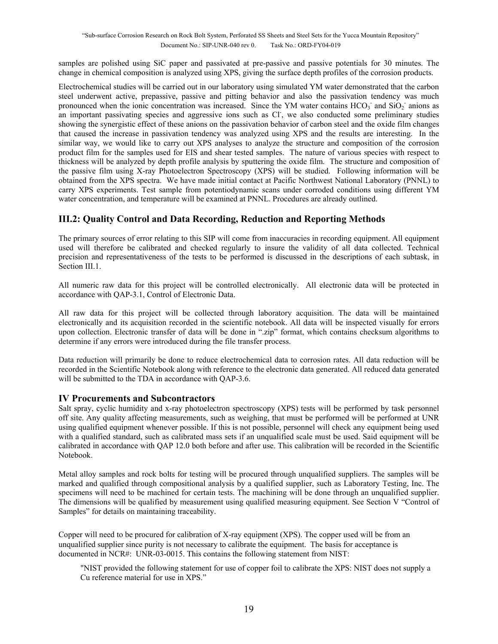samples are polished using SiC paper and passivated at pre-passive and passive potentials for 30 minutes. The change in chemical composition is analyzed using XPS, giving the surface depth profiles of the corrosion products.

Electrochemical studies will be carried out in our laboratory using simulated YM water demonstrated that the carbon steel underwent active, prepassive, passive and pitting behavior and also the passivation tendency was much pronounced when the ionic concentration was increased. Since the YM water contains  $HCO<sub>3</sub>$  and  $SiO<sub>2</sub>$  anions as an important passivating species and aggressive ions such as Cl, we also conducted some preliminary studies showing the synergistic effect of these anions on the passivation behavior of carbon steel and the oxide film changes that caused the increase in passivation tendency was analyzed using XPS and the results are interesting. In the similar way, we would like to carry out XPS analyses to analyze the structure and composition of the corrosion product film for the samples used for EIS and shear tested samples. The nature of various species with respect to thickness will be analyzed by depth profile analysis by sputtering the oxide film. The structure and composition of the passive film using X-ray Photoelectron Spectroscopy (XPS) will be studied. Following information will be obtained from the XPS spectra. We have made initial contact at Pacific Northwest National Laboratory (PNNL) to carry XPS experiments. Test sample from potentiodynamic scans under corroded conditions using different YM water concentration, and temperature will be examined at PNNL. Procedures are already outlined.

# **III.2: Quality Control and Data Recording, Reduction and Reporting Methods**

The primary sources of error relating to this SIP will come from inaccuracies in recording equipment. All equipment used will therefore be calibrated and checked regularly to insure the validity of all data collected. Technical precision and representativeness of the tests to be performed is discussed in the descriptions of each subtask, in Section III.1.

All numeric raw data for this project will be controlled electronically. All electronic data will be protected in accordance with QAP-3.1, Control of Electronic Data.

All raw data for this project will be collected through laboratory acquisition. The data will be maintained electronically and its acquisition recorded in the scientific notebook. All data will be inspected visually for errors upon collection. Electronic transfer of data will be done in ".zip" format, which contains checksum algorithms to determine if any errors were introduced during the file transfer process.

Data reduction will primarily be done to reduce electrochemical data to corrosion rates. All data reduction will be recorded in the Scientific Notebook along with reference to the electronic data generated. All reduced data generated will be submitted to the TDA in accordance with OAP-3.6.

## **IV Procurements and Subcontractors**

Salt spray, cyclic humidity and x-ray photoelectron spectroscopy (XPS) tests will be performed by task personnel off site. Any quality affecting measurements, such as weighing, that must be performed will be performed at UNR using qualified equipment whenever possible. If this is not possible, personnel will check any equipment being used with a qualified standard, such as calibrated mass sets if an unqualified scale must be used. Said equipment will be calibrated in accordance with QAP 12.0 both before and after use. This calibration will be recorded in the Scientific Notebook.

Metal alloy samples and rock bolts for testing will be procured through unqualified suppliers. The samples will be marked and qualified through compositional analysis by a qualified supplier, such as Laboratory Testing, Inc. The specimens will need to be machined for certain tests. The machining will be done through an unqualified supplier. The dimensions will be qualified by measurement using qualified measuring equipment. See Section V "Control of Samples" for details on maintaining traceability.

Copper will need to be procured for calibration of X-ray equipment (XPS). The copper used will be from an unqualified supplier since purity is not necessary to calibrate the equipment. The basis for acceptance is documented in NCR#: UNR-03-0015. This contains the following statement from NIST:

"NIST provided the following statement for use of copper foil to calibrate the XPS: NIST does not supply a Cu reference material for use in XPS."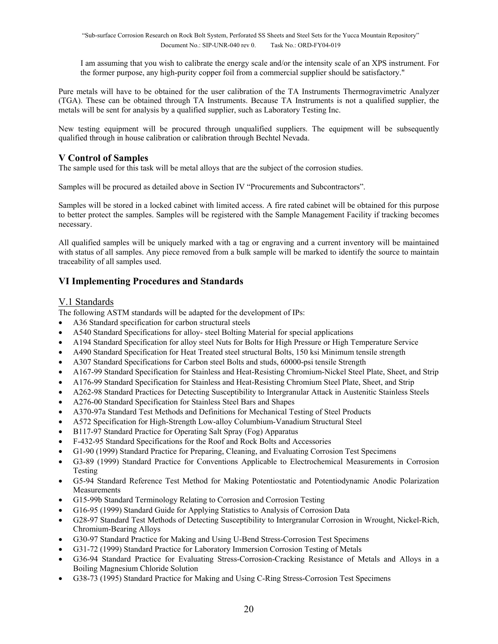I am assuming that you wish to calibrate the energy scale and/or the intensity scale of an XPS instrument. For the former purpose, any high-purity copper foil from a commercial supplier should be satisfactory."

Pure metals will have to be obtained for the user calibration of the TA Instruments Thermogravimetric Analyzer (TGA). These can be obtained through TA Instruments. Because TA Instruments is not a qualified supplier, the metals will be sent for analysis by a qualified supplier, such as Laboratory Testing Inc.

New testing equipment will be procured through unqualified suppliers. The equipment will be subsequently qualified through in house calibration or calibration through Bechtel Nevada.

# **V Control of Samples**

The sample used for this task will be metal alloys that are the subject of the corrosion studies.

Samples will be procured as detailed above in Section IV "Procurements and Subcontractors".

Samples will be stored in a locked cabinet with limited access. A fire rated cabinet will be obtained for this purpose to better protect the samples. Samples will be registered with the Sample Management Facility if tracking becomes necessary.

All qualified samples will be uniquely marked with a tag or engraving and a current inventory will be maintained with status of all samples. Any piece removed from a bulk sample will be marked to identify the source to maintain traceability of all samples used.

# **VI Implementing Procedures and Standards**

## V.1 Standards

The following ASTM standards will be adapted for the development of IPs:

- A36 Standard specification for carbon structural steels
- A540 Standard Specifications for alloy- steel Bolting Material for special applications
- A194 Standard Specification for alloy steel Nuts for Bolts for High Pressure or High Temperature Service
- A490 Standard Specification for Heat Treated steel structural Bolts, 150 ksi Minimum tensile strength
- A307 Standard Specifications for Carbon steel Bolts and studs, 60000-psi tensile Strength
- A167-99 Standard Specification for Stainless and Heat-Resisting Chromium-Nickel Steel Plate, Sheet, and Strip
- A176-99 Standard Specification for Stainless and Heat-Resisting Chromium Steel Plate, Sheet, and Strip
- A262-98 Standard Practices for Detecting Susceptibility to Intergranular Attack in Austenitic Stainless Steels
- A276-00 Standard Specification for Stainless Steel Bars and Shapes
- A370-97a Standard Test Methods and Definitions for Mechanical Testing of Steel Products
- A572 Specification for High-Strength Low-alloy Columbium-Vanadium Structural Steel
- B117-97 Standard Practice for Operating Salt Spray (Fog) Apparatus
- F-432-95 Standard Specifications for the Roof and Rock Bolts and Accessories
- G1-90 (1999) Standard Practice for Preparing, Cleaning, and Evaluating Corrosion Test Specimens
- G3-89 (1999) Standard Practice for Conventions Applicable to Electrochemical Measurements in Corrosion Testing
- G5-94 Standard Reference Test Method for Making Potentiostatic and Potentiodynamic Anodic Polarization Measurements
- G15-99b Standard Terminology Relating to Corrosion and Corrosion Testing
- G16-95 (1999) Standard Guide for Applying Statistics to Analysis of Corrosion Data
- G28-97 Standard Test Methods of Detecting Susceptibility to Intergranular Corrosion in Wrought, Nickel-Rich, Chromium-Bearing Alloys
- G30-97 Standard Practice for Making and Using U-Bend Stress-Corrosion Test Specimens
- G31-72 (1999) Standard Practice for Laboratory Immersion Corrosion Testing of Metals
- G36-94 Standard Practice for Evaluating Stress-Corrosion-Cracking Resistance of Metals and Alloys in a Boiling Magnesium Chloride Solution
- G38-73 (1995) Standard Practice for Making and Using C-Ring Stress-Corrosion Test Specimens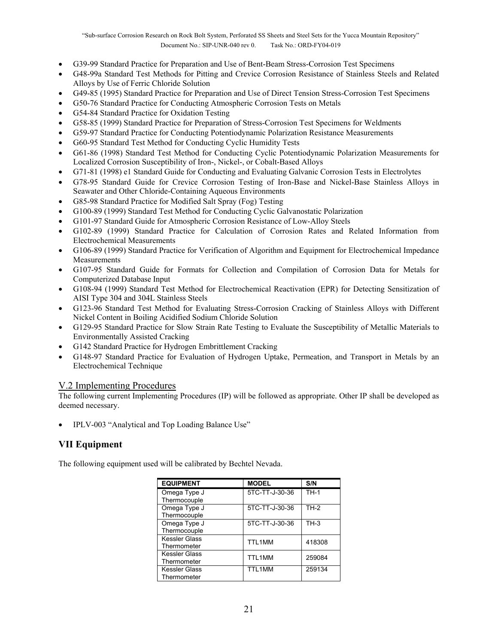- G39-99 Standard Practice for Preparation and Use of Bent-Beam Stress-Corrosion Test Specimens
- G48-99a Standard Test Methods for Pitting and Crevice Corrosion Resistance of Stainless Steels and Related Alloys by Use of Ferric Chloride Solution
- G49-85 (1995) Standard Practice for Preparation and Use of Direct Tension Stress-Corrosion Test Specimens
- G50-76 Standard Practice for Conducting Atmospheric Corrosion Tests on Metals
- G54-84 Standard Practice for Oxidation Testing
- G58-85 (1999) Standard Practice for Preparation of Stress-Corrosion Test Specimens for Weldments
- G59-97 Standard Practice for Conducting Potentiodynamic Polarization Resistance Measurements
- G60-95 Standard Test Method for Conducting Cyclic Humidity Tests
- G61-86 (1998) Standard Test Method for Conducting Cyclic Potentiodynamic Polarization Measurements for Localized Corrosion Susceptibility of Iron-, Nickel-, or Cobalt-Based Alloys
- G71-81 (1998) e1 Standard Guide for Conducting and Evaluating Galvanic Corrosion Tests in Electrolytes
- G78-95 Standard Guide for Crevice Corrosion Testing of Iron-Base and Nickel-Base Stainless Alloys in Seawater and Other Chloride-Containing Aqueous Environments
- G85-98 Standard Practice for Modified Salt Spray (Fog) Testing
- G100-89 (1999) Standard Test Method for Conducting Cyclic Galvanostatic Polarization
- G101-97 Standard Guide for Atmospheric Corrosion Resistance of Low-Alloy Steels
- G102-89 (1999) Standard Practice for Calculation of Corrosion Rates and Related Information from Electrochemical Measurements
- G106-89 (1999) Standard Practice for Verification of Algorithm and Equipment for Electrochemical Impedance Measurements
- G107-95 Standard Guide for Formats for Collection and Compilation of Corrosion Data for Metals for Computerized Database Input
- G108-94 (1999) Standard Test Method for Electrochemical Reactivation (EPR) for Detecting Sensitization of AISI Type 304 and 304L Stainless Steels
- G123-96 Standard Test Method for Evaluating Stress-Corrosion Cracking of Stainless Alloys with Different Nickel Content in Boiling Acidified Sodium Chloride Solution
- G129-95 Standard Practice for Slow Strain Rate Testing to Evaluate the Susceptibility of Metallic Materials to Environmentally Assisted Cracking
- G142 Standard Practice for Hydrogen Embrittlement Cracking
- G148-97 Standard Practice for Evaluation of Hydrogen Uptake, Permeation, and Transport in Metals by an Electrochemical Technique

## V.2 Implementing Procedures

The following current Implementing Procedures (IP) will be followed as appropriate. Other IP shall be developed as deemed necessary.

• IPLV-003 "Analytical and Top Loading Balance Use"

# **VII Equipment**

The following equipment used will be calibrated by Bechtel Nevada.

| <b>EQUIPMENT</b>                    | <b>MODEL</b>   | S/N    |
|-------------------------------------|----------------|--------|
| Omega Type J<br>Thermocouple        | 5TC-TT-J-30-36 | $TH-1$ |
| Omega Type J<br>Thermocouple        | 5TC-TT-J-30-36 | $TH-2$ |
| Omega Type J<br>Thermocouple        | 5TC-TT-J-30-36 | $TH-3$ |
| <b>Kessler Glass</b><br>Thermometer | TTL1MM         | 418308 |
| Kessler Glass<br>Thermometer        | TTL1MM         | 259084 |
| Kessler Glass<br>Thermometer        | TTI 1MM        | 259134 |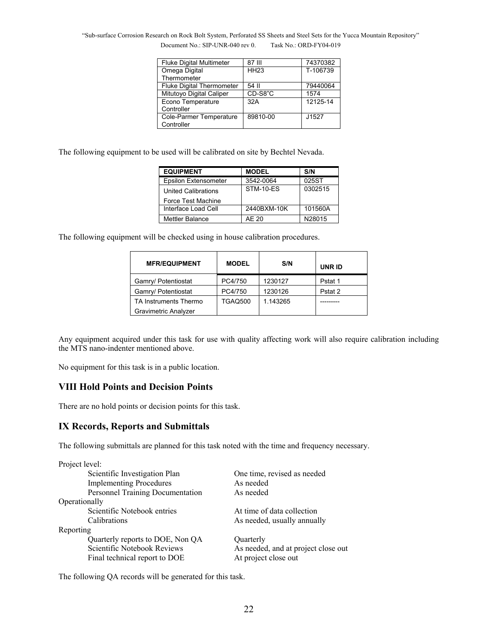"Sub-surface Corrosion Research on Rock Bolt System, Perforated SS Sheets and Steel Sets for the Yucca Mountain Repository" Document No.: SIP-UNR-040 rev 0. Task No.: ORD-FY04-019

| <b>Fluke Digital Multimeter</b>  | 87 III      | 74370382 |  |  |  |
|----------------------------------|-------------|----------|--|--|--|
| Omega Digital                    | <b>HH23</b> | T-106739 |  |  |  |
| Thermometer                      |             |          |  |  |  |
| <b>Fluke Digital Thermometer</b> | 54 II       | 79440064 |  |  |  |
| Mitutoyo Digital Caliper         | CD-S8"C     | 1574     |  |  |  |
| Econo Temperature                | 32A         | 12125-14 |  |  |  |
| Controller                       |             |          |  |  |  |
| Cole-Parmer Temperature          | 89810-00    | J1527    |  |  |  |
| Controller                       |             |          |  |  |  |

The following equipment to be used will be calibrated on site by Bechtel Nevada.

| <b>EQUIPMENT</b>            | <b>MODEL</b> | S/N     |  |  |  |
|-----------------------------|--------------|---------|--|--|--|
| <b>Epsilon Extensometer</b> | 3542-0064    | 025ST   |  |  |  |
| <b>United Calibrations</b>  | STM-10-ES    | 0302515 |  |  |  |
| Force Test Machine          |              |         |  |  |  |
| Interface Load Cell         | 2440BXM-10K  | 101560A |  |  |  |
| Mettler Balance             | AF 20        | N28015  |  |  |  |

The following equipment will be checked using in house calibration procedures.

| <b>MFR/EQUIPMENT</b>        | <b>MODEL</b>   | S/N      | <b>UNRID</b> |
|-----------------------------|----------------|----------|--------------|
| Gamry/ Potentiostat         | PC4/750        | 1230127  | Pstat 1      |
| Gamry/ Potentiostat         | PC4/750        | 1230126  | Pstat 2      |
| TA Instruments Thermo       | <b>TGAO500</b> | 1.143265 |              |
| <b>Gravimetric Analyzer</b> |                |          |              |

Any equipment acquired under this task for use with quality affecting work will also require calibration including the MTS nano-indenter mentioned above.

No equipment for this task is in a public location.

## **VIII Hold Points and Decision Points**

There are no hold points or decision points for this task.

## **IX Records, Reports and Submittals**

The following submittals are planned for this task noted with the time and frequency necessary.

| Project level: |                                  |                                     |  |  |  |  |  |
|----------------|----------------------------------|-------------------------------------|--|--|--|--|--|
|                | Scientific Investigation Plan    | One time, revised as needed         |  |  |  |  |  |
|                | <b>Implementing Procedures</b>   | As needed                           |  |  |  |  |  |
|                | Personnel Training Documentation | As needed                           |  |  |  |  |  |
| Operationally  |                                  |                                     |  |  |  |  |  |
|                | Scientific Notebook entries      | At time of data collection          |  |  |  |  |  |
|                | Calibrations                     | As needed, usually annually         |  |  |  |  |  |
| Reporting      |                                  |                                     |  |  |  |  |  |
|                | Quarterly reports to DOE, Non QA | Quarterly                           |  |  |  |  |  |
|                | Scientific Notebook Reviews      | As needed, and at project close out |  |  |  |  |  |
|                | Final technical report to DOE    | At project close out                |  |  |  |  |  |

The following QA records will be generated for this task.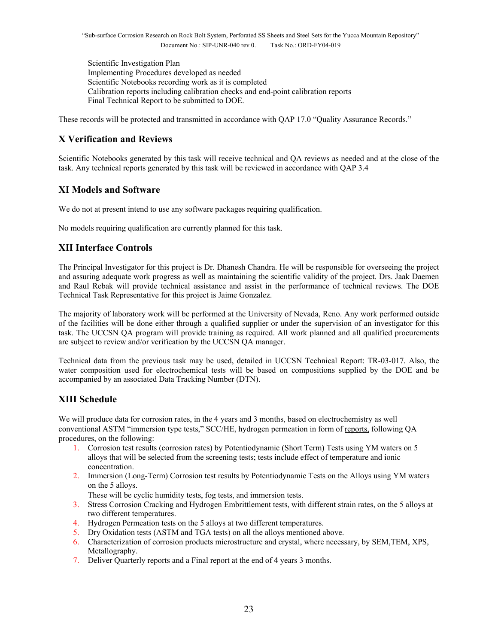Scientific Investigation Plan Implementing Procedures developed as needed Scientific Notebooks recording work as it is completed Calibration reports including calibration checks and end-point calibration reports Final Technical Report to be submitted to DOE.

These records will be protected and transmitted in accordance with QAP 17.0 "Quality Assurance Records."

# **X Verification and Reviews**

Scientific Notebooks generated by this task will receive technical and QA reviews as needed and at the close of the task. Any technical reports generated by this task will be reviewed in accordance with QAP 3.4

# **XI Models and Software**

We do not at present intend to use any software packages requiring qualification.

No models requiring qualification are currently planned for this task.

# **XII Interface Controls**

The Principal Investigator for this project is Dr. Dhanesh Chandra. He will be responsible for overseeing the project and assuring adequate work progress as well as maintaining the scientific validity of the project. Drs. Jaak Daemen and Raul Rebak will provide technical assistance and assist in the performance of technical reviews. The DOE Technical Task Representative for this project is Jaime Gonzalez.

The majority of laboratory work will be performed at the University of Nevada, Reno. Any work performed outside of the facilities will be done either through a qualified supplier or under the supervision of an investigator for this task. The UCCSN QA program will provide training as required. All work planned and all qualified procurements are subject to review and/or verification by the UCCSN QA manager.

Technical data from the previous task may be used, detailed in UCCSN Technical Report: TR-03-017. Also, the water composition used for electrochemical tests will be based on compositions supplied by the DOE and be accompanied by an associated Data Tracking Number (DTN).

# **XIII Schedule**

We will produce data for corrosion rates, in the 4 years and 3 months, based on electrochemistry as well conventional ASTM "immersion type tests," SCC/HE, hydrogen permeation in form of reports, following QA procedures, on the following:

- 1. Corrosion test results (corrosion rates) by Potentiodynamic (Short Term) Tests using YM waters on 5 alloys that will be selected from the screening tests; tests include effect of temperature and ionic concentration.
- 2. Immersion (Long-Term) Corrosion test results by Potentiodynamic Tests on the Alloys using YM waters on the 5 alloys.

These will be cyclic humidity tests, fog tests, and immersion tests.

- 3. Stress Corrosion Cracking and Hydrogen Embrittlement tests, with different strain rates, on the 5 alloys at two different temperatures.
- 4. Hydrogen Permeation tests on the 5 alloys at two different temperatures.
- 5. Dry Oxidation tests (ASTM and TGA tests) on all the alloys mentioned above.
- 6. Characterization of corrosion products microstructure and crystal, where necessary, by SEM,TEM, XPS, Metallography.
- 7. Deliver Quarterly reports and a Final report at the end of 4 years 3 months.